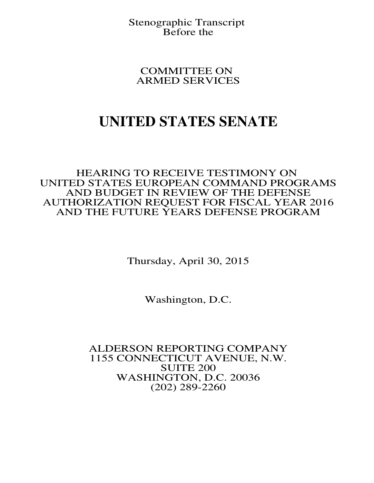Stenographic Transcript Before the

COMMITTEE ON ARMED SERVICES

## **UNITED STATES SENATE**

HEARING TO RECEIVE TESTIMONY ON UNITED STATES EUROPEAN COMMAND PROGRAMS AND BUDGET IN REVIEW OF THE DEFENSE AUTHORIZATION REQUEST FOR FISCAL YEAR 2016 AND THE FUTURE YEARS DEFENSE PROGRAM

Thursday, April 30, 2015

Washington, D.C.

ALDERSON REPORTING COMPANY 1155 CONNECTICUT AVENUE, N.W. SUITE 200 WASHINGTON, D.C. 20036 (202) 289-2260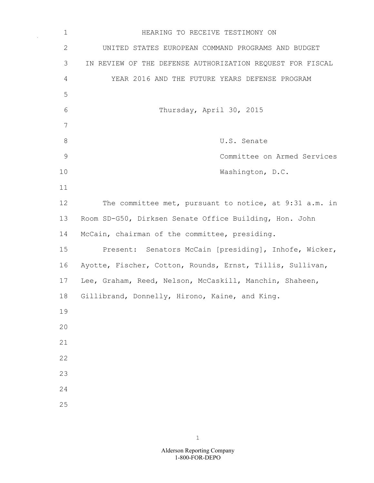| $\mathbf 1$   | HEARING TO RECEIVE TESTIMONY ON                           |
|---------------|-----------------------------------------------------------|
| $\mathbf{2}$  | UNITED STATES EUROPEAN COMMAND PROGRAMS AND BUDGET        |
| 3             | IN REVIEW OF THE DEFENSE AUTHORIZATION REQUEST FOR FISCAL |
| 4             | YEAR 2016 AND THE FUTURE YEARS DEFENSE PROGRAM            |
| 5             |                                                           |
| 6             | Thursday, April 30, 2015                                  |
| 7             |                                                           |
| $8\,$         | U.S. Senate                                               |
| $\mathcal{G}$ | Committee on Armed Services                               |
| 10            | Washington, D.C.                                          |
| 11            |                                                           |
| 12            | The committee met, pursuant to notice, at 9:31 a.m. in    |
| 13            | Room SD-G50, Dirksen Senate Office Building, Hon. John    |
| 14            | McCain, chairman of the committee, presiding.             |
| 15            | Present: Senators McCain [presiding], Inhofe, Wicker,     |
| 16            | Ayotte, Fischer, Cotton, Rounds, Ernst, Tillis, Sullivan, |
| 17            | Lee, Graham, Reed, Nelson, McCaskill, Manchin, Shaheen,   |
| 18            | Gillibrand, Donnelly, Hirono, Kaine, and King.            |
| 19            |                                                           |
| 20            |                                                           |
| 21            |                                                           |
| 22            |                                                           |
| 23            |                                                           |
| 24            |                                                           |
| 25            |                                                           |

 $\sim$   $\sim$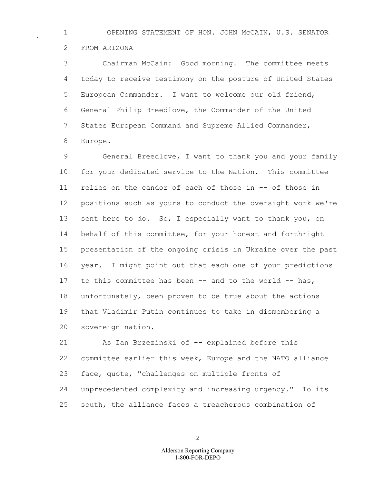1 OPENING STATEMENT OF HON. JOHN McCAIN, U.S. SENATOR 2 FROM ARIZONA

3 Chairman McCain: Good morning. The committee meets 4 today to receive testimony on the posture of United States 5 European Commander. I want to welcome our old friend, 6 General Philip Breedlove, the Commander of the United 7 States European Command and Supreme Allied Commander, 8 Europe.

9 General Breedlove, I want to thank you and your family 10 for your dedicated service to the Nation. This committee 11 relies on the candor of each of those in -- of those in 12 positions such as yours to conduct the oversight work we're 13 sent here to do. So, I especially want to thank you, on 14 behalf of this committee, for your honest and forthright 15 presentation of the ongoing crisis in Ukraine over the past 16 year. I might point out that each one of your predictions 17 to this committee has been -- and to the world -- has, 18 unfortunately, been proven to be true about the actions 19 that Vladimir Putin continues to take in dismembering a 20 sovereign nation.

21 As Ian Brzezinski of -- explained before this 22 committee earlier this week, Europe and the NATO alliance 23 face, quote, "challenges on multiple fronts of 24 unprecedented complexity and increasing urgency." To its 25 south, the alliance faces a treacherous combination of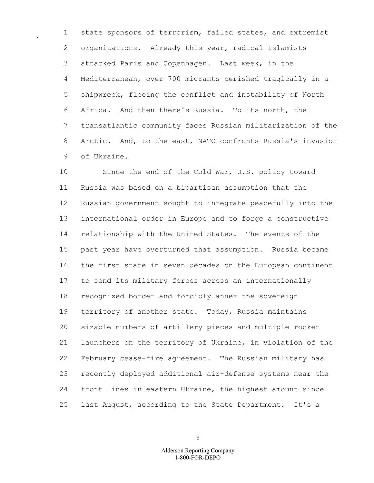1 state sponsors of terrorism, failed states, and extremist 2 organizations. Already this year, radical Islamists 3 attacked Paris and Copenhagen. Last week, in the 4 Mediterranean, over 700 migrants perished tragically in a 5 shipwreck, fleeing the conflict and instability of North 6 Africa. And then there's Russia. To its north, the 7 transatlantic community faces Russian militarization of the 8 Arctic. And, to the east, NATO confronts Russia's invasion 9 of Ukraine.

10 Since the end of the Cold War, U.S. policy toward 11 Russia was based on a bipartisan assumption that the 12 Russian government sought to integrate peacefully into the 13 international order in Europe and to forge a constructive 14 relationship with the United States. The events of the 15 past year have overturned that assumption. Russia became 16 the first state in seven decades on the European continent 17 to send its military forces across an internationally 18 recognized border and forcibly annex the sovereign 19 territory of another state. Today, Russia maintains 20 sizable numbers of artillery pieces and multiple rocket 21 launchers on the territory of Ukraine, in violation of the 22 February cease-fire agreement. The Russian military has 23 recently deployed additional air-defense systems near the 24 front lines in eastern Ukraine, the highest amount since 25 last August, according to the State Department. It's a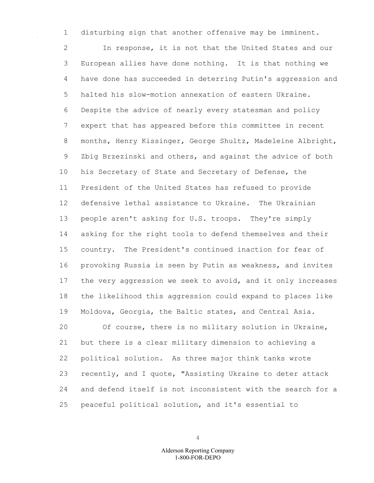1 disturbing sign that another offensive may be imminent.

2 In response, it is not that the United States and our 3 European allies have done nothing. It is that nothing we 4 have done has succeeded in deterring Putin's aggression and 5 halted his slow-motion annexation of eastern Ukraine. 6 Despite the advice of nearly every statesman and policy 7 expert that has appeared before this committee in recent 8 months, Henry Kissinger, George Shultz, Madeleine Albright, 9 Zbig Brzezinski and others, and against the advice of both 10 his Secretary of State and Secretary of Defense, the 11 President of the United States has refused to provide 12 defensive lethal assistance to Ukraine. The Ukrainian 13 people aren't asking for U.S. troops. They're simply 14 asking for the right tools to defend themselves and their 15 country. The President's continued inaction for fear of 16 provoking Russia is seen by Putin as weakness, and invites 17 the very aggression we seek to avoid, and it only increases 18 the likelihood this aggression could expand to places like 19 Moldova, Georgia, the Baltic states, and Central Asia. 20 Of course, there is no military solution in Ukraine, 21 but there is a clear military dimension to achieving a 22 political solution. As three major think tanks wrote 23 recently, and I quote, "Assisting Ukraine to deter attack 24 and defend itself is not inconsistent with the search for a

25 peaceful political solution, and it's essential to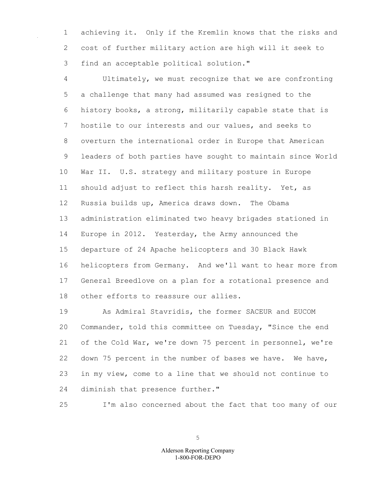1 achieving it. Only if the Kremlin knows that the risks and 2 cost of further military action are high will it seek to 3 find an acceptable political solution."

4 Ultimately, we must recognize that we are confronting 5 a challenge that many had assumed was resigned to the 6 history books, a strong, militarily capable state that is 7 hostile to our interests and our values, and seeks to 8 overturn the international order in Europe that American 9 leaders of both parties have sought to maintain since World 10 War II. U.S. strategy and military posture in Europe 11 should adjust to reflect this harsh reality. Yet, as 12 Russia builds up, America draws down. The Obama 13 administration eliminated two heavy brigades stationed in 14 Europe in 2012. Yesterday, the Army announced the 15 departure of 24 Apache helicopters and 30 Black Hawk 16 helicopters from Germany. And we'll want to hear more from 17 General Breedlove on a plan for a rotational presence and 18 other efforts to reassure our allies.

19 As Admiral Stavridis, the former SACEUR and EUCOM 20 Commander, told this committee on Tuesday, "Since the end 21 of the Cold War, we're down 75 percent in personnel, we're 22 down 75 percent in the number of bases we have. We have, 23 in my view, come to a line that we should not continue to 24 diminish that presence further."

25 I'm also concerned about the fact that too many of our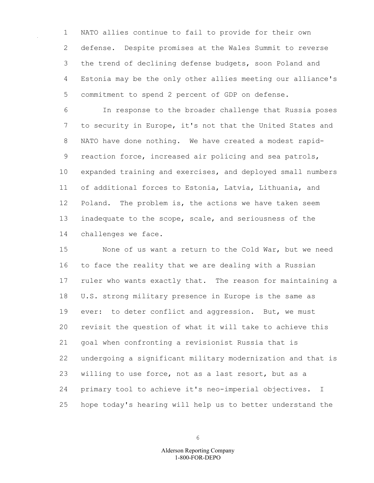1 NATO allies continue to fail to provide for their own 2 defense. Despite promises at the Wales Summit to reverse 3 the trend of declining defense budgets, soon Poland and 4 Estonia may be the only other allies meeting our alliance's 5 commitment to spend 2 percent of GDP on defense.

6 In response to the broader challenge that Russia poses 7 to security in Europe, it's not that the United States and 8 NATO have done nothing. We have created a modest rapid-9 reaction force, increased air policing and sea patrols, 10 expanded training and exercises, and deployed small numbers 11 of additional forces to Estonia, Latvia, Lithuania, and 12 Poland. The problem is, the actions we have taken seem 13 inadequate to the scope, scale, and seriousness of the 14 challenges we face.

15 None of us want a return to the Cold War, but we need 16 to face the reality that we are dealing with a Russian 17 ruler who wants exactly that. The reason for maintaining a 18 U.S. strong military presence in Europe is the same as 19 ever: to deter conflict and aggression. But, we must 20 revisit the question of what it will take to achieve this 21 goal when confronting a revisionist Russia that is 22 undergoing a significant military modernization and that is 23 willing to use force, not as a last resort, but as a 24 primary tool to achieve it's neo-imperial objectives. I 25 hope today's hearing will help us to better understand the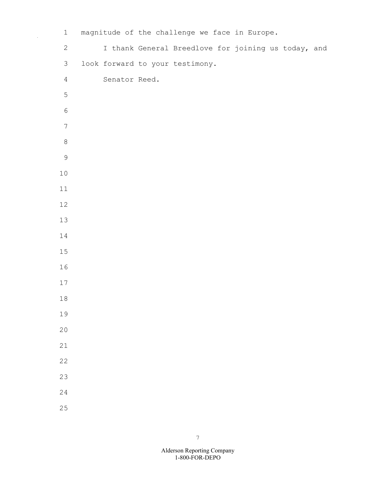| $\mathbf 1$      | magnitude of the challenge we face in Europe. |                                                     |  |  |
|------------------|-----------------------------------------------|-----------------------------------------------------|--|--|
| $\mathbf{2}$     |                                               | I thank General Breedlove for joining us today, and |  |  |
| $\mathfrak{Z}$   | look forward to your testimony.               |                                                     |  |  |
| $\overline{4}$   | Senator Reed.                                 |                                                     |  |  |
| 5                |                                               |                                                     |  |  |
| $\sqrt{6}$       |                                               |                                                     |  |  |
| $\boldsymbol{7}$ |                                               |                                                     |  |  |
| $\,8\,$          |                                               |                                                     |  |  |
| $\mathsf 9$      |                                               |                                                     |  |  |
| $10$             |                                               |                                                     |  |  |
| $11\,$           |                                               |                                                     |  |  |
| 12               |                                               |                                                     |  |  |
| $13\,$           |                                               |                                                     |  |  |
| $14\,$           |                                               |                                                     |  |  |
| $15\,$           |                                               |                                                     |  |  |
| 16               |                                               |                                                     |  |  |
| $17\,$           |                                               |                                                     |  |  |
| $18\,$           |                                               |                                                     |  |  |
| 19               |                                               |                                                     |  |  |
| 20               |                                               |                                                     |  |  |
| 21               |                                               |                                                     |  |  |
| 22               |                                               |                                                     |  |  |
| 23               |                                               |                                                     |  |  |
| 24               |                                               |                                                     |  |  |
| 25               |                                               |                                                     |  |  |

1-800-FOR-DEPO Alderson Reporting Company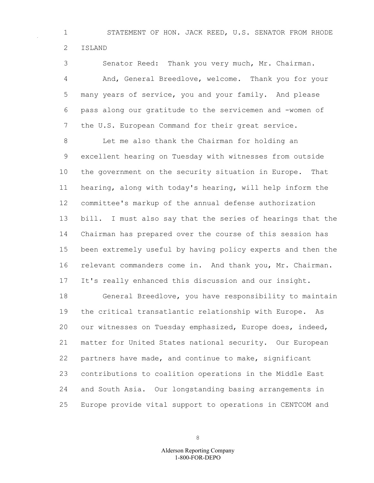1 STATEMENT OF HON. JACK REED, U.S. SENATOR FROM RHODE 2 ISLAND

3 Senator Reed: Thank you very much, Mr. Chairman. 4 And, General Breedlove, welcome. Thank you for your 5 many years of service, you and your family. And please 6 pass along our gratitude to the servicemen and -women of 7 the U.S. European Command for their great service.

8 Let me also thank the Chairman for holding an 9 excellent hearing on Tuesday with witnesses from outside 10 the government on the security situation in Europe. That 11 hearing, along with today's hearing, will help inform the 12 committee's markup of the annual defense authorization 13 bill. I must also say that the series of hearings that the 14 Chairman has prepared over the course of this session has 15 been extremely useful by having policy experts and then the 16 relevant commanders come in. And thank you, Mr. Chairman. 17 It's really enhanced this discussion and our insight.

18 General Breedlove, you have responsibility to maintain 19 the critical transatlantic relationship with Europe. As 20 our witnesses on Tuesday emphasized, Europe does, indeed, 21 matter for United States national security. Our European 22 partners have made, and continue to make, significant 23 contributions to coalition operations in the Middle East 24 and South Asia. Our longstanding basing arrangements in 25 Europe provide vital support to operations in CENTCOM and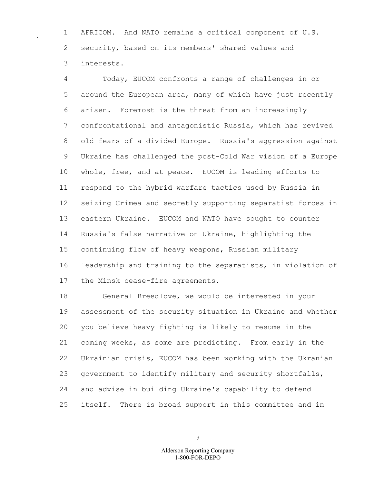1 AFRICOM. And NATO remains a critical component of U.S. 2 security, based on its members' shared values and 3 interests.

4 Today, EUCOM confronts a range of challenges in or 5 around the European area, many of which have just recently 6 arisen. Foremost is the threat from an increasingly 7 confrontational and antagonistic Russia, which has revived 8 old fears of a divided Europe. Russia's aggression against 9 Ukraine has challenged the post-Cold War vision of a Europe 10 whole, free, and at peace. EUCOM is leading efforts to 11 respond to the hybrid warfare tactics used by Russia in 12 seizing Crimea and secretly supporting separatist forces in 13 eastern Ukraine. EUCOM and NATO have sought to counter 14 Russia's false narrative on Ukraine, highlighting the 15 continuing flow of heavy weapons, Russian military 16 leadership and training to the separatists, in violation of 17 the Minsk cease-fire agreements.

18 General Breedlove, we would be interested in your 19 assessment of the security situation in Ukraine and whether 20 you believe heavy fighting is likely to resume in the 21 coming weeks, as some are predicting. From early in the 22 Ukrainian crisis, EUCOM has been working with the Ukranian 23 government to identify military and security shortfalls, 24 and advise in building Ukraine's capability to defend 25 itself. There is broad support in this committee and in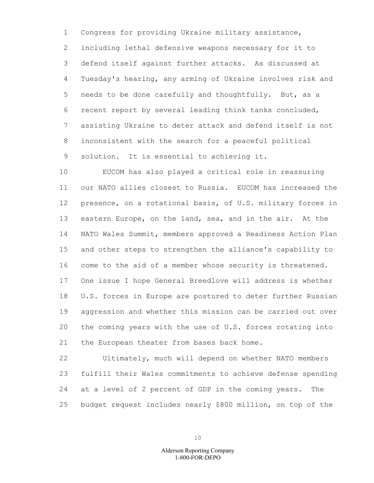1 Congress for providing Ukraine military assistance, 2 including lethal defensive weapons necessary for it to 3 defend itself against further attacks. As discussed at 4 Tuesday's hearing, any arming of Ukraine involves risk and 5 needs to be done carefully and thoughtfully. But, as a 6 recent report by several leading think tanks concluded, 7 assisting Ukraine to deter attack and defend itself is not 8 inconsistent with the search for a peaceful political 9 solution. It is essential to achieving it.

10 EUCOM has also played a critical role in reassuring 11 our NATO allies closest to Russia. EUCOM has increased the 12 presence, on a rotational basis, of U.S. military forces in 13 eastern Europe, on the land, sea, and in the air. At the 14 NATO Wales Summit, members approved a Readiness Action Plan 15 and other steps to strengthen the alliance's capability to 16 come to the aid of a member whose security is threatened. 17 One issue I hope General Breedlove will address is whether 18 U.S. forces in Europe are postured to deter further Russian 19 aggression and whether this mission can be carried out over 20 the coming years with the use of U.S. forces rotating into 21 the European theater from bases back home.

22 Ultimately, much will depend on whether NATO members 23 fulfill their Wales commitments to achieve defense spending 24 at a level of 2 percent of GDP in the coming years. The 25 budget request includes nearly \$800 million, on top of the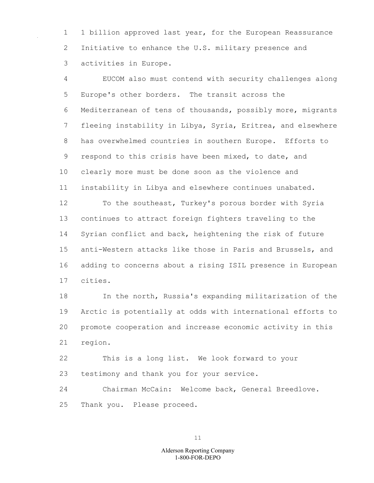1 1 billion approved last year, for the European Reassurance 2 Initiative to enhance the U.S. military presence and 3 activities in Europe.

4 EUCOM also must contend with security challenges along 5 Europe's other borders. The transit across the 6 Mediterranean of tens of thousands, possibly more, migrants 7 fleeing instability in Libya, Syria, Eritrea, and elsewhere 8 has overwhelmed countries in southern Europe. Efforts to 9 respond to this crisis have been mixed, to date, and 10 clearly more must be done soon as the violence and 11 instability in Libya and elsewhere continues unabated.

12 To the southeast, Turkey's porous border with Syria 13 continues to attract foreign fighters traveling to the 14 Syrian conflict and back, heightening the risk of future 15 anti-Western attacks like those in Paris and Brussels, and 16 adding to concerns about a rising ISIL presence in European 17 cities.

18 In the north, Russia's expanding militarization of the 19 Arctic is potentially at odds with international efforts to 20 promote cooperation and increase economic activity in this 21 region.

22 This is a long list. We look forward to your 23 testimony and thank you for your service.

24 Chairman McCain: Welcome back, General Breedlove. 25 Thank you. Please proceed.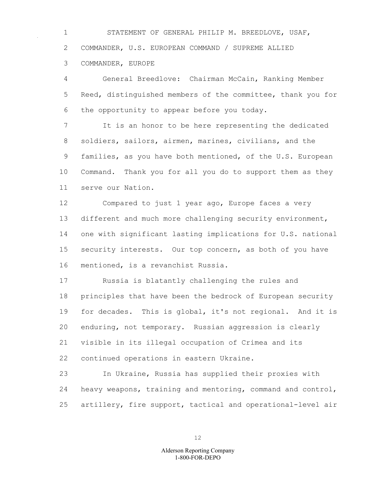1 STATEMENT OF GENERAL PHILIP M. BREEDLOVE, USAF, 2 COMMANDER, U.S. EUROPEAN COMMAND / SUPREME ALLIED 3 COMMANDER, EUROPE

4 General Breedlove: Chairman McCain, Ranking Member 5 Reed, distinguished members of the committee, thank you for 6 the opportunity to appear before you today.

7 It is an honor to be here representing the dedicated 8 soldiers, sailors, airmen, marines, civilians, and the 9 families, as you have both mentioned, of the U.S. European 10 Command. Thank you for all you do to support them as they 11 serve our Nation.

12 Compared to just 1 year ago, Europe faces a very 13 different and much more challenging security environment, 14 one with significant lasting implications for U.S. national 15 security interests. Our top concern, as both of you have 16 mentioned, is a revanchist Russia.

17 Russia is blatantly challenging the rules and 18 principles that have been the bedrock of European security 19 for decades. This is global, it's not regional. And it is 20 enduring, not temporary. Russian aggression is clearly 21 visible in its illegal occupation of Crimea and its 22 continued operations in eastern Ukraine.

23 In Ukraine, Russia has supplied their proxies with 24 heavy weapons, training and mentoring, command and control, 25 artillery, fire support, tactical and operational-level air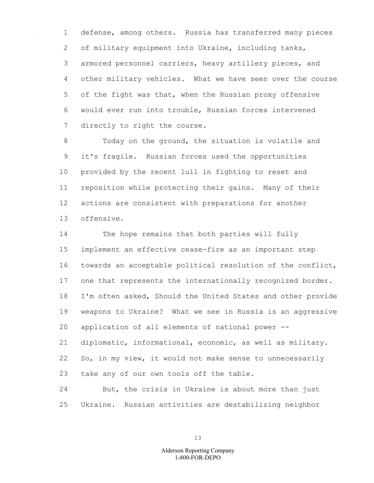1 defense, among others. Russia has transferred many pieces 2 of military equipment into Ukraine, including tanks, 3 armored personnel carriers, heavy artillery pieces, and 4 other military vehicles. What we have seen over the course 5 of the fight was that, when the Russian proxy offensive 6 would ever run into trouble, Russian forces intervened 7 directly to right the course.

8 Today on the ground, the situation is volatile and 9 it's fragile. Russian forces used the opportunities 10 provided by the recent lull in fighting to reset and 11 reposition while protecting their gains. Many of their 12 actions are consistent with preparations for another 13 offensive.

14 The hope remains that both parties will fully 15 implement an effective cease-fire as an important step 16 towards an acceptable political resolution of the conflict, 17 one that represents the internationally recognized border. 18 I'm often asked, Should the United States and other provide 19 weapons to Ukraine? What we see in Russia is an aggressive 20 application of all elements of national power -- 21 diplomatic, informational, economic, as well as military. 22 So, in my view, it would not make sense to unnecessarily 23 take any of our own tools off the table.

24 But, the crisis in Ukraine is about more than just 25 Ukraine. Russian activities are destabilizing neighbor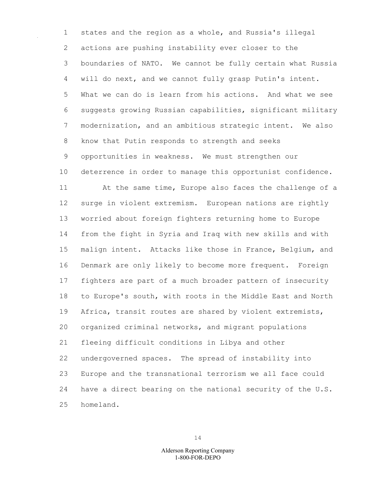1 states and the region as a whole, and Russia's illegal 2 actions are pushing instability ever closer to the 3 boundaries of NATO. We cannot be fully certain what Russia 4 will do next, and we cannot fully grasp Putin's intent. 5 What we can do is learn from his actions. And what we see 6 suggests growing Russian capabilities, significant military 7 modernization, and an ambitious strategic intent. We also 8 know that Putin responds to strength and seeks 9 opportunities in weakness. We must strengthen our 10 deterrence in order to manage this opportunist confidence. 11 At the same time, Europe also faces the challenge of a 12 surge in violent extremism. European nations are rightly 13 worried about foreign fighters returning home to Europe 14 from the fight in Syria and Iraq with new skills and with 15 malign intent. Attacks like those in France, Belgium, and 16 Denmark are only likely to become more frequent. Foreign 17 fighters are part of a much broader pattern of insecurity 18 to Europe's south, with roots in the Middle East and North 19 Africa, transit routes are shared by violent extremists, 20 organized criminal networks, and migrant populations 21 fleeing difficult conditions in Libya and other 22 undergoverned spaces. The spread of instability into 23 Europe and the transnational terrorism we all face could 24 have a direct bearing on the national security of the U.S. 25 homeland.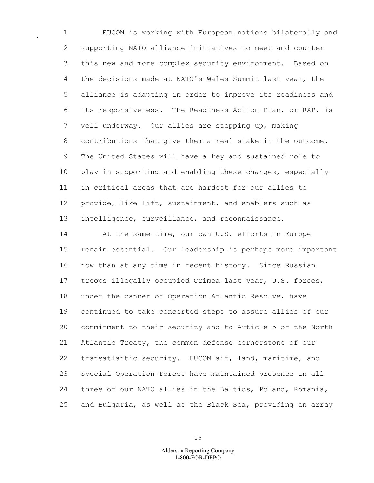1 EUCOM is working with European nations bilaterally and 2 supporting NATO alliance initiatives to meet and counter 3 this new and more complex security environment. Based on 4 the decisions made at NATO's Wales Summit last year, the 5 alliance is adapting in order to improve its readiness and 6 its responsiveness. The Readiness Action Plan, or RAP, is 7 well underway. Our allies are stepping up, making 8 contributions that give them a real stake in the outcome. 9 The United States will have a key and sustained role to 10 play in supporting and enabling these changes, especially 11 in critical areas that are hardest for our allies to 12 provide, like lift, sustainment, and enablers such as 13 intelligence, surveillance, and reconnaissance.

14 At the same time, our own U.S. efforts in Europe 15 remain essential. Our leadership is perhaps more important 16 now than at any time in recent history. Since Russian 17 troops illegally occupied Crimea last year, U.S. forces, 18 under the banner of Operation Atlantic Resolve, have 19 continued to take concerted steps to assure allies of our 20 commitment to their security and to Article 5 of the North 21 Atlantic Treaty, the common defense cornerstone of our 22 transatlantic security. EUCOM air, land, maritime, and 23 Special Operation Forces have maintained presence in all 24 three of our NATO allies in the Baltics, Poland, Romania, 25 and Bulgaria, as well as the Black Sea, providing an array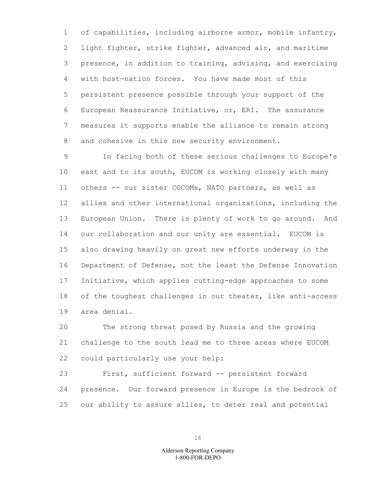1 of capabilities, including airborne armor, mobile infantry, 2 light fighter, strike fighter, advanced air, and maritime 3 presence, in addition to training, advising, and exercising 4 with host-nation forces. You have made most of this 5 persistent presence possible through your support of the 6 European Reassurance Initiative, or, ERI. The assurance 7 measures it supports enable the alliance to remain strong 8 and cohesive in this new security environment.

9 In facing both of these serious challenges to Europe's 10 east and to its south, EUCOM is working closely with many 11 others -- our sister COCOMs, NATO partners, as well as 12 allies and other international organizations, including the 13 European Union. There is plenty of work to go around. And 14 our collaboration and our unity are essential. EUCOM is 15 also drawing heavily on great new efforts underway in the 16 Department of Defense, not the least the Defense Innovation 17 Initiative, which applies cutting-edge approaches to some 18 of the toughest challenges in our theater, like anti-access 19 area denial.

20 The strong threat posed by Russia and the growing 21 challenge to the south lead me to three areas where EUCOM 22 could particularly use your help:

23 First, sufficient forward -- persistent forward 24 presence. Our forward presence in Europe is the bedrock of 25 our ability to assure allies, to deter real and potential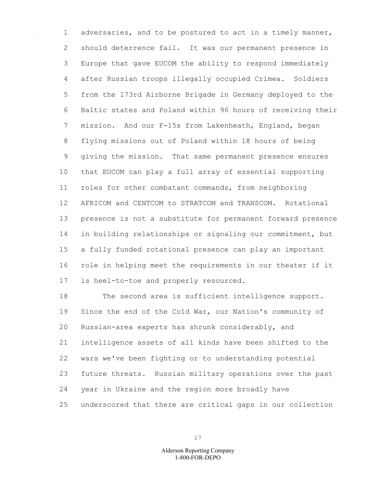1 adversaries, and to be postured to act in a timely manner, 2 should deterrence fail. It was our permanent presence in 3 Europe that gave EUCOM the ability to respond immediately 4 after Russian troops illegally occupied Crimea. Soldiers 5 from the 173rd Airborne Brigade in Germany deployed to the 6 Baltic states and Poland within 96 hours of receiving their 7 mission. And our F-15s from Lakenheath, England, began 8 flying missions out of Poland within 18 hours of being 9 giving the mission. That same permanent presence ensures 10 that EUCOM can play a full array of essential supporting 11 roles for other combatant commands, from neighboring 12 AFRICOM and CENTCOM to STRATCOM and TRANSCOM. Rotational 13 presence is not a substitute for permanent forward presence 14 in building relationships or signaling our commitment, but 15 a fully funded rotational presence can play an important 16 role in helping meet the requirements in our theater if it 17 is heel-to-toe and properly resourced.

18 The second area is sufficient intelligence support. 19 Since the end of the Cold War, our Nation's community of 20 Russian-area experts has shrunk considerably, and 21 intelligence assets of all kinds have been shifted to the 22 wars we've been fighting or to understanding potential 23 future threats. Russian military operations over the past 24 year in Ukraine and the region more broadly have 25 underscored that there are critical gaps in our collection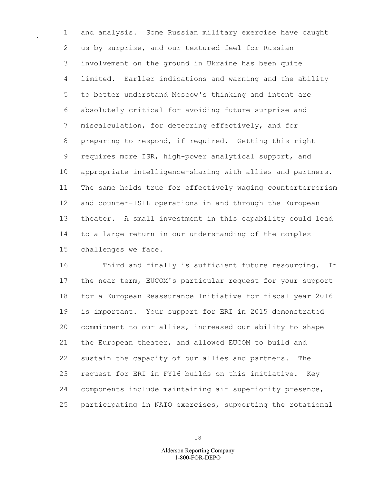1 and analysis. Some Russian military exercise have caught 2 us by surprise, and our textured feel for Russian 3 involvement on the ground in Ukraine has been quite 4 limited. Earlier indications and warning and the ability 5 to better understand Moscow's thinking and intent are 6 absolutely critical for avoiding future surprise and 7 miscalculation, for deterring effectively, and for 8 preparing to respond, if required. Getting this right 9 requires more ISR, high-power analytical support, and 10 appropriate intelligence-sharing with allies and partners. 11 The same holds true for effectively waging counterterrorism 12 and counter-ISIL operations in and through the European 13 theater. A small investment in this capability could lead 14 to a large return in our understanding of the complex 15 challenges we face.

16 Third and finally is sufficient future resourcing. In 17 the near term, EUCOM's particular request for your support 18 for a European Reassurance Initiative for fiscal year 2016 19 is important. Your support for ERI in 2015 demonstrated 20 commitment to our allies, increased our ability to shape 21 the European theater, and allowed EUCOM to build and 22 sustain the capacity of our allies and partners. The 23 request for ERI in FY16 builds on this initiative. Key 24 components include maintaining air superiority presence, 25 participating in NATO exercises, supporting the rotational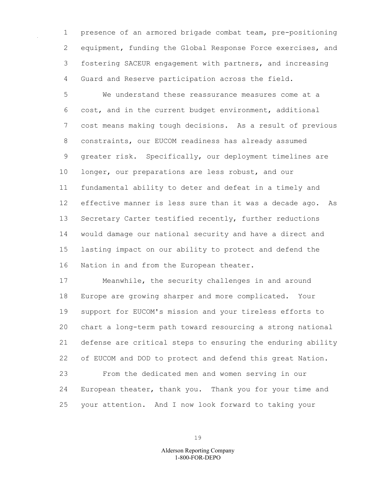1 presence of an armored brigade combat team, pre-positioning 2 equipment, funding the Global Response Force exercises, and 3 fostering SACEUR engagement with partners, and increasing 4 Guard and Reserve participation across the field.

5 We understand these reassurance measures come at a 6 cost, and in the current budget environment, additional 7 cost means making tough decisions. As a result of previous 8 constraints, our EUCOM readiness has already assumed 9 greater risk. Specifically, our deployment timelines are 10 longer, our preparations are less robust, and our 11 fundamental ability to deter and defeat in a timely and 12 effective manner is less sure than it was a decade ago. As 13 Secretary Carter testified recently, further reductions 14 would damage our national security and have a direct and 15 lasting impact on our ability to protect and defend the 16 Nation in and from the European theater.

17 Meanwhile, the security challenges in and around 18 Europe are growing sharper and more complicated. Your 19 support for EUCOM's mission and your tireless efforts to 20 chart a long-term path toward resourcing a strong national 21 defense are critical steps to ensuring the enduring ability 22 of EUCOM and DOD to protect and defend this great Nation. 23 From the dedicated men and women serving in our 24 European theater, thank you. Thank you for your time and

19

25 your attention. And I now look forward to taking your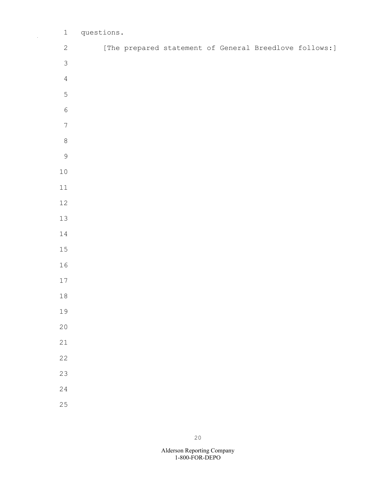| $\mathbf 1$      | questions. |  |  |                                                        |  |
|------------------|------------|--|--|--------------------------------------------------------|--|
| $\sqrt{2}$       |            |  |  | [The prepared statement of General Breedlove follows:] |  |
| $\mathcal{S}$    |            |  |  |                                                        |  |
| $\sqrt{4}$       |            |  |  |                                                        |  |
| 5                |            |  |  |                                                        |  |
| $\sqrt{6}$       |            |  |  |                                                        |  |
| $\boldsymbol{7}$ |            |  |  |                                                        |  |
| $\,8\,$          |            |  |  |                                                        |  |
| $\mathcal{G}$    |            |  |  |                                                        |  |
| $1\,0$           |            |  |  |                                                        |  |
| $11\,$           |            |  |  |                                                        |  |
| $12\,$           |            |  |  |                                                        |  |
| $13\,$           |            |  |  |                                                        |  |
| $1\,4$           |            |  |  |                                                        |  |
| $15\,$           |            |  |  |                                                        |  |
| $16\,$           |            |  |  |                                                        |  |
| $17\,$           |            |  |  |                                                        |  |
| $1\,8$           |            |  |  |                                                        |  |
| 19               |            |  |  |                                                        |  |
| 20               |            |  |  |                                                        |  |
| 21               |            |  |  |                                                        |  |
| 22               |            |  |  |                                                        |  |
| 23               |            |  |  |                                                        |  |
| 24               |            |  |  |                                                        |  |
| 25               |            |  |  |                                                        |  |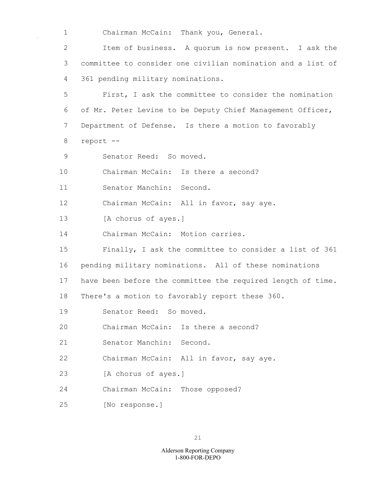1 Chairman McCain: Thank you, General.

2 Item of business. A quorum is now present. I ask the 3 committee to consider one civilian nomination and a list of 4 361 pending military nominations.

5 First, I ask the committee to consider the nomination 6 of Mr. Peter Levine to be Deputy Chief Management Officer, 7 Department of Defense. Is there a motion to favorably 8 report --

- 9 Senator Reed: So moved.
- 10 Chairman McCain: Is there a second?

11 Senator Manchin: Second.

12 Chairman McCain: All in favor, say aye.

13 [A chorus of ayes.]

14 Chairman McCain: Motion carries.

15 Finally, I ask the committee to consider a list of 361

16 pending military nominations. All of these nominations

17 have been before the committee the required length of time.

18 There's a motion to favorably report these 360.

- 19 Senator Reed: So moved.
- 20 Chairman McCain: Is there a second?
- 21 Senator Manchin: Second.
- 22 Chairman McCain: All in favor, say aye.
- 23 [A chorus of ayes.]
- 24 Chairman McCain: Those opposed?
- 25 [No response.]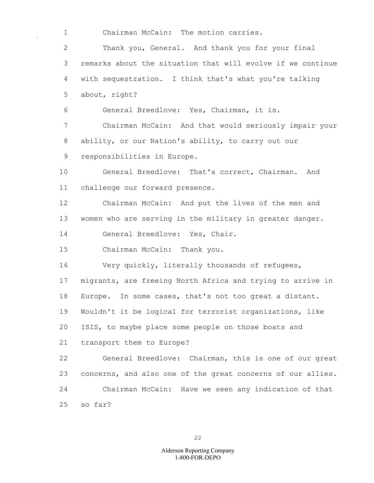1 Chairman McCain: The motion carries.

2 Thank you, General. And thank you for your final 3 remarks about the situation that will evolve if we continue 4 with sequestration. I think that's what you're talking 5 about, right?

6 General Breedlove: Yes, Chairman, it is.

7 Chairman McCain: And that would seriously impair your 8 ability, or our Nation's ability, to carry out our 9 responsibilities in Europe.

10 General Breedlove: That's correct, Chairman. And 11 challenge our forward presence.

12 Chairman McCain: And put the lives of the men and 13 women who are serving in the military in greater danger.

14 General Breedlove: Yes, Chair.

15 Chairman McCain: Thank you.

16 Very quickly, literally thousands of refugees, 17 migrants, are freeing North Africa and trying to arrive in 18 Europe. In some cases, that's not too great a distant. 19 Wouldn't it be logical for terrorist organizations, like 20 ISIS, to maybe place some people on those boats and 21 transport them to Europe?

22 General Breedlove: Chairman, this is one of our great 23 concerns, and also one of the great concerns of our allies. 24 Chairman McCain: Have we seen any indication of that 25 so far?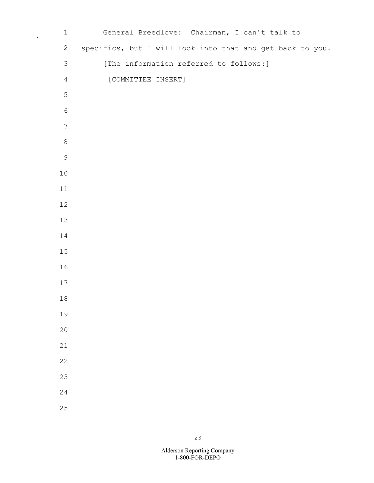| $\mathbf 1$      | General Breedlove: Chairman, I can't talk to              |
|------------------|-----------------------------------------------------------|
| $\mathbf{2}$     | specifics, but I will look into that and get back to you. |
| 3                | [The information referred to follows:]                    |
| $\overline{4}$   | [COMMITTEE INSERT]                                        |
| $\mathsf S$      |                                                           |
| $\sqrt{6}$       |                                                           |
| $\boldsymbol{7}$ |                                                           |
| $\,8\,$          |                                                           |
| $\mathsf 9$      |                                                           |
| $10$             |                                                           |
| 11               |                                                           |
| $12$             |                                                           |
| $13$             |                                                           |
| $14\,$           |                                                           |
| $15$             |                                                           |
| 16               |                                                           |
| $17$             |                                                           |
| $1\,8$           |                                                           |
| 19               |                                                           |
| 20               |                                                           |
| 21               |                                                           |
| 22               |                                                           |
| 23               |                                                           |
| 24               |                                                           |
| 25               |                                                           |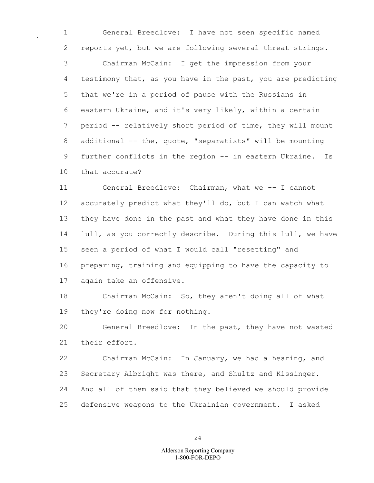1 General Breedlove: I have not seen specific named 2 reports yet, but we are following several threat strings.

3 Chairman McCain: I get the impression from your 4 testimony that, as you have in the past, you are predicting 5 that we're in a period of pause with the Russians in 6 eastern Ukraine, and it's very likely, within a certain 7 period -- relatively short period of time, they will mount 8 additional -- the, quote, "separatists" will be mounting 9 further conflicts in the region -- in eastern Ukraine. Is 10 that accurate?

11 General Breedlove: Chairman, what we -- I cannot 12 accurately predict what they'll do, but I can watch what 13 they have done in the past and what they have done in this 14 lull, as you correctly describe. During this lull, we have 15 seen a period of what I would call "resetting" and 16 preparing, training and equipping to have the capacity to 17 again take an offensive.

18 Chairman McCain: So, they aren't doing all of what 19 they're doing now for nothing.

20 General Breedlove: In the past, they have not wasted 21 their effort.

22 Chairman McCain: In January, we had a hearing, and 23 Secretary Albright was there, and Shultz and Kissinger. 24 And all of them said that they believed we should provide 25 defensive weapons to the Ukrainian government. I asked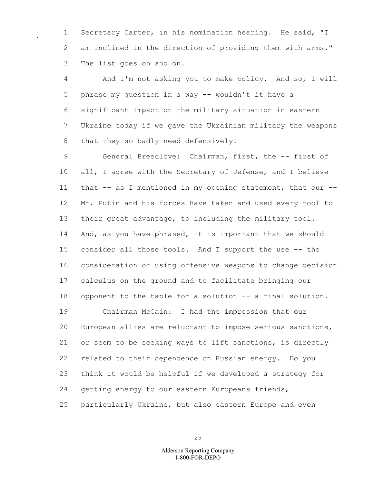1 Secretary Carter, in his nomination hearing. He said, "I 2 am inclined in the direction of providing them with arms." 3 The list goes on and on.

4 And I'm not asking you to make policy. And so, I will 5 phrase my question in a way -- wouldn't it have a 6 significant impact on the military situation in eastern 7 Ukraine today if we gave the Ukrainian military the weapons 8 that they so badly need defensively?

9 General Breedlove: Chairman, first, the -- first of 10 all, I agree with the Secretary of Defense, and I believe 11 that -- as I mentioned in my opening statement, that our --12 Mr. Putin and his forces have taken and used every tool to 13 their great advantage, to including the military tool. 14 And, as you have phrased, it is important that we should 15 consider all those tools. And I support the use -- the 16 consideration of using offensive weapons to change decision 17 calculus on the ground and to facilitate bringing our 18 opponent to the table for a solution -- a final solution. 19 Chairman McCain: I had the impression that our 20 European allies are reluctant to impose serious sanctions, 21 or seem to be seeking ways to lift sanctions, is directly 22 related to their dependence on Russian energy. Do you 23 think it would be helpful if we developed a strategy for

24 getting energy to our eastern Europeans friends,

25 particularly Ukraine, but also eastern Europe and even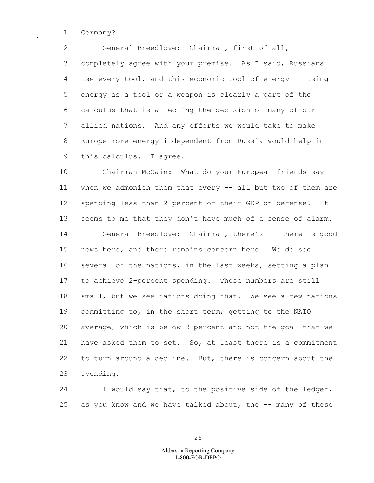1 Germany?

2 General Breedlove: Chairman, first of all, I 3 completely agree with your premise. As I said, Russians 4 use every tool, and this economic tool of energy -- using 5 energy as a tool or a weapon is clearly a part of the 6 calculus that is affecting the decision of many of our 7 allied nations. And any efforts we would take to make 8 Europe more energy independent from Russia would help in 9 this calculus. I agree.

10 Chairman McCain: What do your European friends say 11 when we admonish them that every -- all but two of them are 12 spending less than 2 percent of their GDP on defense? It 13 seems to me that they don't have much of a sense of alarm. 14 General Breedlove: Chairman, there's -- there is good 15 news here, and there remains concern here. We do see 16 several of the nations, in the last weeks, setting a plan 17 to achieve 2-percent spending. Those numbers are still 18 small, but we see nations doing that. We see a few nations 19 committing to, in the short term, getting to the NATO 20 average, which is below 2 percent and not the goal that we 21 have asked them to set. So, at least there is a commitment 22 to turn around a decline. But, there is concern about the 23 spending.

24 I would say that, to the positive side of the ledger, 25 as you know and we have talked about, the -- many of these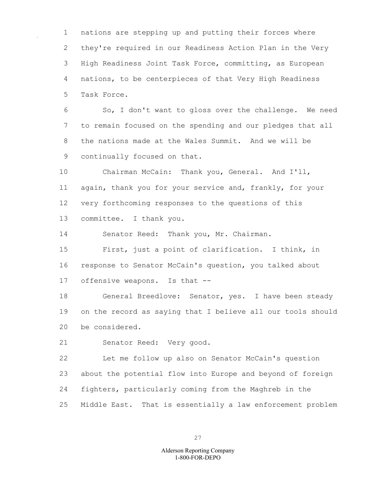1 nations are stepping up and putting their forces where 2 they're required in our Readiness Action Plan in the Very 3 High Readiness Joint Task Force, committing, as European 4 nations, to be centerpieces of that Very High Readiness 5 Task Force.

6 So, I don't want to gloss over the challenge. We need 7 to remain focused on the spending and our pledges that all 8 the nations made at the Wales Summit. And we will be 9 continually focused on that.

10 Chairman McCain: Thank you, General. And I'll, 11 again, thank you for your service and, frankly, for your 12 very forthcoming responses to the questions of this 13 committee. I thank you.

14 Senator Reed: Thank you, Mr. Chairman.

15 First, just a point of clarification. I think, in 16 response to Senator McCain's question, you talked about 17 offensive weapons. Is that --

18 General Breedlove: Senator, yes. I have been steady 19 on the record as saying that I believe all our tools should 20 be considered.

21 Senator Reed: Very good.

22 Let me follow up also on Senator McCain's question 23 about the potential flow into Europe and beyond of foreign 24 fighters, particularly coming from the Maghreb in the 25 Middle East. That is essentially a law enforcement problem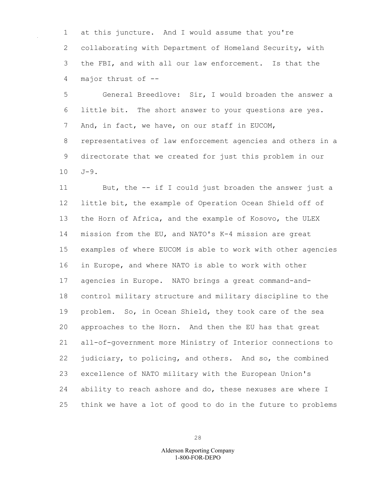1 at this juncture. And I would assume that you're 2 collaborating with Department of Homeland Security, with 3 the FBI, and with all our law enforcement. Is that the 4 major thrust of --

5 General Breedlove: Sir, I would broaden the answer a 6 little bit. The short answer to your questions are yes. 7 And, in fact, we have, on our staff in EUCOM, 8 representatives of law enforcement agencies and others in a 9 directorate that we created for just this problem in our 10 J-9.

11 But, the -- if I could just broaden the answer just a 12 little bit, the example of Operation Ocean Shield off of 13 the Horn of Africa, and the example of Kosovo, the ULEX 14 mission from the EU, and NATO's K-4 mission are great 15 examples of where EUCOM is able to work with other agencies 16 in Europe, and where NATO is able to work with other 17 agencies in Europe. NATO brings a great command-and-18 control military structure and military discipline to the 19 problem. So, in Ocean Shield, they took care of the sea 20 approaches to the Horn. And then the EU has that great 21 all-of-government more Ministry of Interior connections to 22 judiciary, to policing, and others. And so, the combined 23 excellence of NATO military with the European Union's 24 ability to reach ashore and do, these nexuses are where I 25 think we have a lot of good to do in the future to problems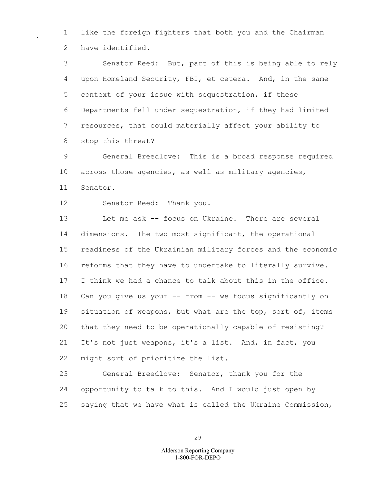1 like the foreign fighters that both you and the Chairman 2 have identified.

3 Senator Reed: But, part of this is being able to rely 4 upon Homeland Security, FBI, et cetera. And, in the same 5 context of your issue with sequestration, if these 6 Departments fell under sequestration, if they had limited 7 resources, that could materially affect your ability to 8 stop this threat?

9 General Breedlove: This is a broad response required 10 across those agencies, as well as military agencies, 11 Senator.

12 Senator Reed: Thank you.

13 Let me ask -- focus on Ukraine. There are several 14 dimensions. The two most significant, the operational 15 readiness of the Ukrainian military forces and the economic 16 reforms that they have to undertake to literally survive. 17 I think we had a chance to talk about this in the office. 18 Can you give us your -- from -- we focus significantly on 19 situation of weapons, but what are the top, sort of, items 20 that they need to be operationally capable of resisting? 21 It's not just weapons, it's a list. And, in fact, you 22 might sort of prioritize the list.

23 General Breedlove: Senator, thank you for the 24 opportunity to talk to this. And I would just open by 25 saying that we have what is called the Ukraine Commission,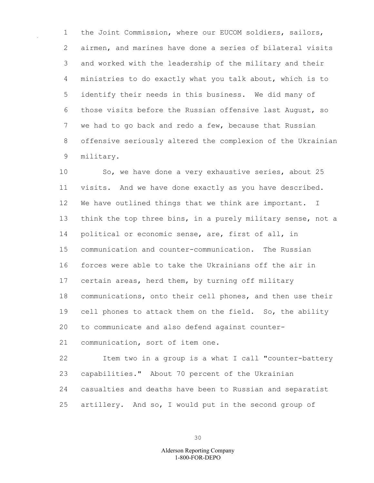1 the Joint Commission, where our EUCOM soldiers, sailors, 2 airmen, and marines have done a series of bilateral visits 3 and worked with the leadership of the military and their 4 ministries to do exactly what you talk about, which is to 5 identify their needs in this business. We did many of 6 those visits before the Russian offensive last August, so 7 we had to go back and redo a few, because that Russian 8 offensive seriously altered the complexion of the Ukrainian 9 military.

10 So, we have done a very exhaustive series, about 25 11 visits. And we have done exactly as you have described. 12 We have outlined things that we think are important. I 13 think the top three bins, in a purely military sense, not a 14 political or economic sense, are, first of all, in 15 communication and counter-communication. The Russian 16 forces were able to take the Ukrainians off the air in 17 certain areas, herd them, by turning off military 18 communications, onto their cell phones, and then use their 19 cell phones to attack them on the field. So, the ability 20 to communicate and also defend against counter-21 communication, sort of item one.

22 Item two in a group is a what I call "counter-battery 23 capabilities." About 70 percent of the Ukrainian 24 casualties and deaths have been to Russian and separatist 25 artillery. And so, I would put in the second group of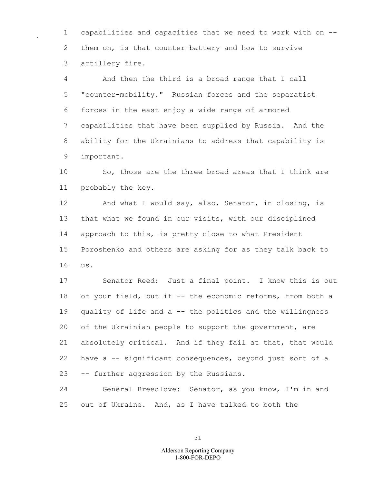1 capabilities and capacities that we need to work with on -- 2 them on, is that counter-battery and how to survive 3 artillery fire.

4 And then the third is a broad range that I call 5 "counter-mobility." Russian forces and the separatist 6 forces in the east enjoy a wide range of armored 7 capabilities that have been supplied by Russia. And the 8 ability for the Ukrainians to address that capability is 9 important.

10 So, those are the three broad areas that I think are 11 probably the key.

12 And what I would say, also, Senator, in closing, is 13 that what we found in our visits, with our disciplined 14 approach to this, is pretty close to what President 15 Poroshenko and others are asking for as they talk back to 16 us.

17 Senator Reed: Just a final point. I know this is out 18 of your field, but if -- the economic reforms, from both a 19 quality of life and a -- the politics and the willingness 20 of the Ukrainian people to support the government, are 21 absolutely critical. And if they fail at that, that would 22 have a -- significant consequences, beyond just sort of a 23 -- further aggression by the Russians.

24 General Breedlove: Senator, as you know, I'm in and 25 out of Ukraine. And, as I have talked to both the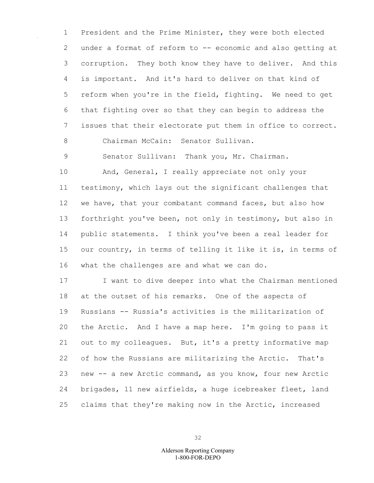1 President and the Prime Minister, they were both elected 2 under a format of reform to -- economic and also getting at 3 corruption. They both know they have to deliver. And this 4 is important. And it's hard to deliver on that kind of 5 reform when you're in the field, fighting. We need to get 6 that fighting over so that they can begin to address the 7 issues that their electorate put them in office to correct. 8 Chairman McCain: Senator Sullivan.

9 Senator Sullivan: Thank you, Mr. Chairman.

10 And, General, I really appreciate not only your 11 testimony, which lays out the significant challenges that 12 we have, that your combatant command faces, but also how 13 forthright you've been, not only in testimony, but also in 14 public statements. I think you've been a real leader for 15 our country, in terms of telling it like it is, in terms of 16 what the challenges are and what we can do.

17 I want to dive deeper into what the Chairman mentioned 18 at the outset of his remarks. One of the aspects of 19 Russians -- Russia's activities is the militarization of 20 the Arctic. And I have a map here. I'm going to pass it 21 out to my colleagues. But, it's a pretty informative map 22 of how the Russians are militarizing the Arctic. That's 23 new -- a new Arctic command, as you know, four new Arctic 24 brigades, 11 new airfields, a huge icebreaker fleet, land 25 claims that they're making now in the Arctic, increased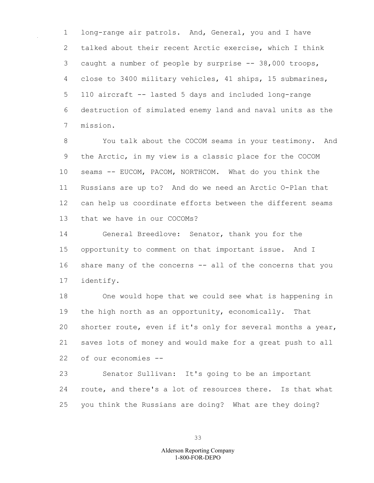1 long-range air patrols. And, General, you and I have 2 talked about their recent Arctic exercise, which I think 3 caught a number of people by surprise -- 38,000 troops, 4 close to 3400 military vehicles, 41 ships, 15 submarines, 5 110 aircraft -- lasted 5 days and included long-range 6 destruction of simulated enemy land and naval units as the 7 mission.

8 You talk about the COCOM seams in your testimony. And 9 the Arctic, in my view is a classic place for the COCOM 10 seams -- EUCOM, PACOM, NORTHCOM. What do you think the 11 Russians are up to? And do we need an Arctic O-Plan that 12 can help us coordinate efforts between the different seams 13 that we have in our COCOMs?

14 General Breedlove: Senator, thank you for the 15 opportunity to comment on that important issue. And I 16 share many of the concerns -- all of the concerns that you 17 identify.

18 One would hope that we could see what is happening in 19 the high north as an opportunity, economically. That 20 shorter route, even if it's only for several months a year, 21 saves lots of money and would make for a great push to all 22 of our economies --

23 Senator Sullivan: It's going to be an important 24 route, and there's a lot of resources there. Is that what 25 you think the Russians are doing? What are they doing?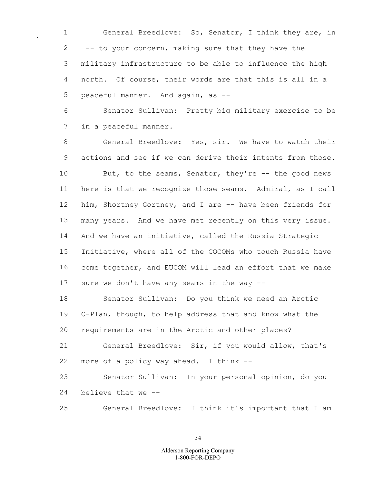General Breedlove: So, Senator, I think they are, in -- to your concern, making sure that they have the military infrastructure to be able to influence the high north. Of course, their words are that this is all in a peaceful manner. And again, as --

 Senator Sullivan: Pretty big military exercise to be in a peaceful manner.

 General Breedlove: Yes, sir. We have to watch their actions and see if we can derive their intents from those. 10 But, to the seams, Senator, they're -- the good news here is that we recognize those seams. Admiral, as I call him, Shortney Gortney, and I are -- have been friends for many years. And we have met recently on this very issue. And we have an initiative, called the Russia Strategic Initiative, where all of the COCOMs who touch Russia have come together, and EUCOM will lead an effort that we make sure we don't have any seams in the way --

 Senator Sullivan: Do you think we need an Arctic O-Plan, though, to help address that and know what the requirements are in the Arctic and other places?

 General Breedlove: Sir, if you would allow, that's more of a policy way ahead. I think --

 Senator Sullivan: In your personal opinion, do you believe that we --

General Breedlove: I think it's important that I am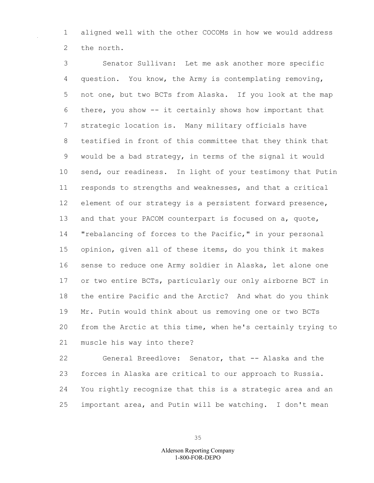1 aligned well with the other COCOMs in how we would address 2 the north.

3 Senator Sullivan: Let me ask another more specific 4 question. You know, the Army is contemplating removing, 5 not one, but two BCTs from Alaska. If you look at the map 6 there, you show -- it certainly shows how important that 7 strategic location is. Many military officials have 8 testified in front of this committee that they think that 9 would be a bad strategy, in terms of the signal it would 10 send, our readiness. In light of your testimony that Putin 11 responds to strengths and weaknesses, and that a critical 12 element of our strategy is a persistent forward presence, 13 and that your PACOM counterpart is focused on a, quote, 14 "rebalancing of forces to the Pacific," in your personal 15 opinion, given all of these items, do you think it makes 16 sense to reduce one Army soldier in Alaska, let alone one 17 or two entire BCTs, particularly our only airborne BCT in 18 the entire Pacific and the Arctic? And what do you think 19 Mr. Putin would think about us removing one or two BCTs 20 from the Arctic at this time, when he's certainly trying to 21 muscle his way into there?

22 General Breedlove: Senator, that -- Alaska and the 23 forces in Alaska are critical to our approach to Russia. 24 You rightly recognize that this is a strategic area and an 25 important area, and Putin will be watching. I don't mean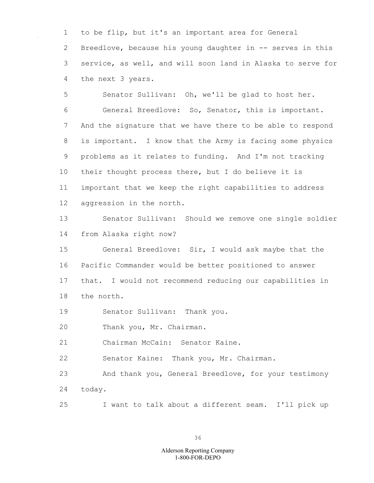1 to be flip, but it's an important area for General 2 Breedlove, because his young daughter in -- serves in this 3 service, as well, and will soon land in Alaska to serve for 4 the next 3 years.

5 Senator Sullivan: Oh, we'll be glad to host her. 6 General Breedlove: So, Senator, this is important. 7 And the signature that we have there to be able to respond 8 is important. I know that the Army is facing some physics 9 problems as it relates to funding. And I'm not tracking 10 their thought process there, but I do believe it is 11 important that we keep the right capabilities to address 12 aggression in the north.

13 Senator Sullivan: Should we remove one single soldier 14 from Alaska right now?

15 General Breedlove: Sir, I would ask maybe that the 16 Pacific Commander would be better positioned to answer 17 that. I would not recommend reducing our capabilities in 18 the north.

19 Senator Sullivan: Thank you.

20 Thank you, Mr. Chairman.

21 Chairman McCain: Senator Kaine.

22 Senator Kaine: Thank you, Mr. Chairman.

23 And thank you, General Breedlove, for your testimony 24 today.

25 I want to talk about a different seam. I'll pick up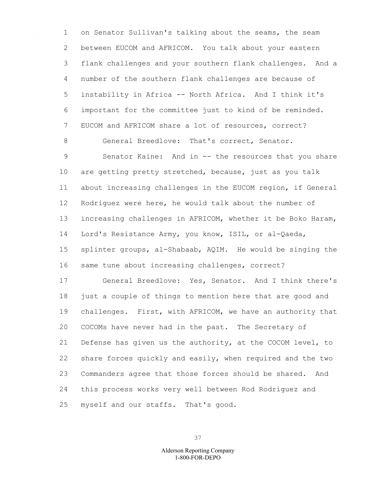1 on Senator Sullivan's talking about the seams, the seam 2 between EUCOM and AFRICOM. You talk about your eastern 3 flank challenges and your southern flank challenges. And a 4 number of the southern flank challenges are because of 5 instability in Africa -- North Africa. And I think it's 6 important for the committee just to kind of be reminded. 7 EUCOM and AFRICOM share a lot of resources, correct?

9 Senator Kaine: And in -- the resources that you share 10 are getting pretty stretched, because, just as you talk 11 about increasing challenges in the EUCOM region, if General 12 Rodriguez were here, he would talk about the number of 13 increasing challenges in AFRICOM, whether it be Boko Haram, 14 Lord's Resistance Army, you know, ISIL, or al-Qaeda, 15 splinter groups, al-Shabaab, AQIM. He would be singing the 16 same tune about increasing challenges, correct?

8 General Breedlove: That's correct, Senator.

17 General Breedlove: Yes, Senator. And I think there's 18 just a couple of things to mention here that are good and 19 challenges. First, with AFRICOM, we have an authority that 20 COCOMs have never had in the past. The Secretary of 21 Defense has given us the authority, at the COCOM level, to 22 share forces quickly and easily, when required and the two 23 Commanders agree that those forces should be shared. And 24 this process works very well between Rod Rodriguez and 25 myself and our staffs. That's good.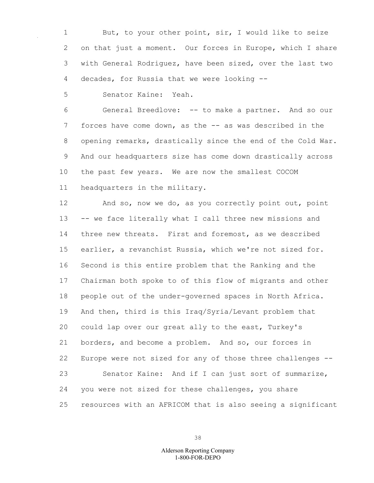1 But, to your other point, sir, I would like to seize 2 on that just a moment. Our forces in Europe, which I share 3 with General Rodriguez, have been sized, over the last two 4 decades, for Russia that we were looking --

5 Senator Kaine: Yeah.

6 General Breedlove: -- to make a partner. And so our 7 forces have come down, as the -- as was described in the 8 opening remarks, drastically since the end of the Cold War. 9 And our headquarters size has come down drastically across 10 the past few years. We are now the smallest COCOM 11 headquarters in the military.

12 And so, now we do, as you correctly point out, point 13 -- we face literally what I call three new missions and 14 three new threats. First and foremost, as we described 15 earlier, a revanchist Russia, which we're not sized for. 16 Second is this entire problem that the Ranking and the 17 Chairman both spoke to of this flow of migrants and other 18 people out of the under-governed spaces in North Africa. 19 And then, third is this Iraq/Syria/Levant problem that 20 could lap over our great ally to the east, Turkey's 21 borders, and become a problem. And so, our forces in 22 Europe were not sized for any of those three challenges -- 23 Senator Kaine: And if I can just sort of summarize, 24 you were not sized for these challenges, you share 25 resources with an AFRICOM that is also seeing a significant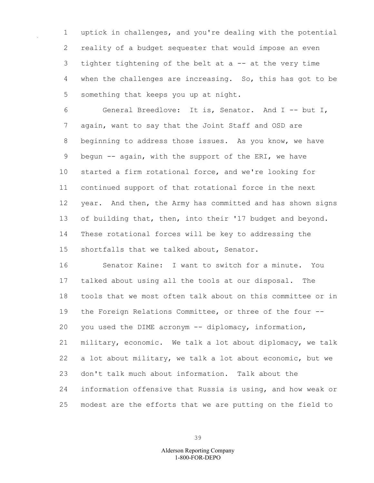1 uptick in challenges, and you're dealing with the potential 2 reality of a budget sequester that would impose an even 3 tighter tightening of the belt at a -- at the very time 4 when the challenges are increasing. So, this has got to be 5 something that keeps you up at night.

6 General Breedlove: It is, Senator. And I -- but I, 7 again, want to say that the Joint Staff and OSD are 8 beginning to address those issues. As you know, we have 9 begun -- again, with the support of the ERI, we have 10 started a firm rotational force, and we're looking for 11 continued support of that rotational force in the next 12 year. And then, the Army has committed and has shown signs 13 of building that, then, into their '17 budget and beyond. 14 These rotational forces will be key to addressing the 15 shortfalls that we talked about, Senator.

16 Senator Kaine: I want to switch for a minute. You 17 talked about using all the tools at our disposal. The 18 tools that we most often talk about on this committee or in 19 the Foreign Relations Committee, or three of the four -- 20 you used the DIME acronym -- diplomacy, information, 21 military, economic. We talk a lot about diplomacy, we talk 22 a lot about military, we talk a lot about economic, but we 23 don't talk much about information. Talk about the 24 information offensive that Russia is using, and how weak or 25 modest are the efforts that we are putting on the field to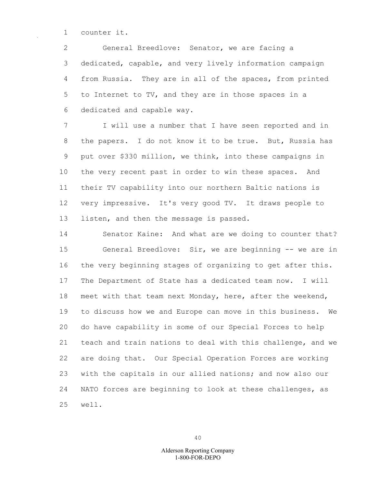1 counter it.

2 General Breedlove: Senator, we are facing a 3 dedicated, capable, and very lively information campaign 4 from Russia. They are in all of the spaces, from printed 5 to Internet to TV, and they are in those spaces in a 6 dedicated and capable way.

7 I will use a number that I have seen reported and in 8 the papers. I do not know it to be true. But, Russia has 9 put over \$330 million, we think, into these campaigns in 10 the very recent past in order to win these spaces. And 11 their TV capability into our northern Baltic nations is 12 very impressive. It's very good TV. It draws people to 13 listen, and then the message is passed.

14 Senator Kaine: And what are we doing to counter that? 15 General Breedlove: Sir, we are beginning -- we are in 16 the very beginning stages of organizing to get after this. 17 The Department of State has a dedicated team now. I will 18 meet with that team next Monday, here, after the weekend, 19 to discuss how we and Europe can move in this business. We 20 do have capability in some of our Special Forces to help 21 teach and train nations to deal with this challenge, and we 22 are doing that. Our Special Operation Forces are working 23 with the capitals in our allied nations; and now also our 24 NATO forces are beginning to look at these challenges, as 25 well.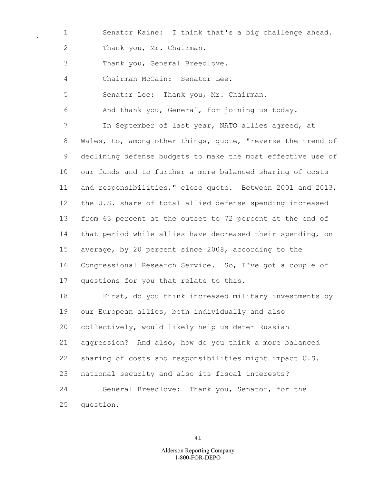1 Senator Kaine: I think that's a big challenge ahead. 2 Thank you, Mr. Chairman.

3 Thank you, General Breedlove.

4 Chairman McCain: Senator Lee.

5 Senator Lee: Thank you, Mr. Chairman.

6 And thank you, General, for joining us today.

7 In September of last year, NATO allies agreed, at 8 Wales, to, among other things, quote, "reverse the trend of 9 declining defense budgets to make the most effective use of 10 our funds and to further a more balanced sharing of costs 11 and responsibilities," close quote. Between 2001 and 2013, 12 the U.S. share of total allied defense spending increased 13 from 63 percent at the outset to 72 percent at the end of 14 that period while allies have decreased their spending, on 15 average, by 20 percent since 2008, according to the 16 Congressional Research Service. So, I've got a couple of 17 questions for you that relate to this.

18 First, do you think increased military investments by 19 our European allies, both individually and also 20 collectively, would likely help us deter Russian 21 aggression? And also, how do you think a more balanced 22 sharing of costs and responsibilities might impact U.S. 23 national security and also its fiscal interests? 24 General Breedlove: Thank you, Senator, for the 25 question.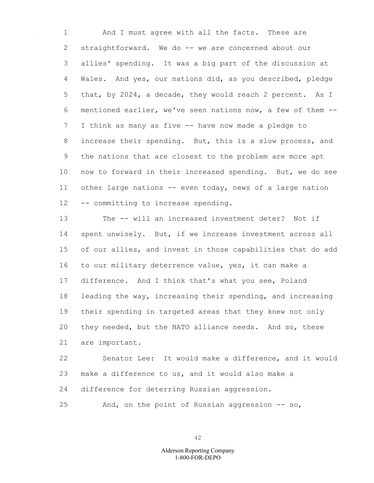1 And I must agree with all the facts. These are 2 straightforward. We do -- we are concerned about our 3 allies' spending. It was a big part of the discussion at 4 Wales. And yes, our nations did, as you described, pledge 5 that, by 2024, a decade, they would reach 2 percent. As I 6 mentioned earlier, we've seen nations now, a few of them -- 7 I think as many as five -- have now made a pledge to 8 increase their spending. But, this is a slow process, and 9 the nations that are closest to the problem are more apt 10 now to forward in their increased spending. But, we do see 11 other large nations -- even today, news of a large nation 12 -- committing to increase spending.

13 The -- will an increased investment deter? Not if 14 spent unwisely. But, if we increase investment across all 15 of our allies, and invest in those capabilities that do add 16 to our military deterrence value, yes, it can make a 17 difference. And I think that's what you see, Poland 18 leading the way, increasing their spending, and increasing 19 their spending in targeted areas that they knew not only 20 they needed, but the NATO alliance needs. And so, these 21 are important.

22 Senator Lee: It would make a difference, and it would 23 make a difference to us, and it would also make a 24 difference for deterring Russian aggression.

25 And, on the point of Russian aggression -- so,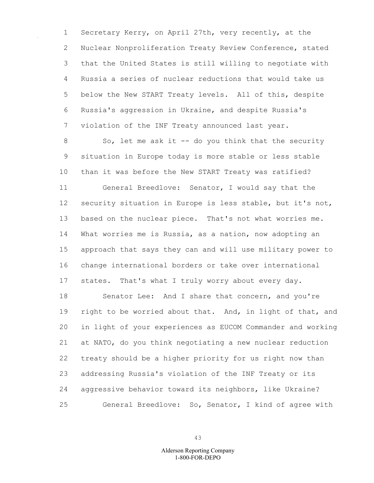1 Secretary Kerry, on April 27th, very recently, at the 2 Nuclear Nonproliferation Treaty Review Conference, stated 3 that the United States is still willing to negotiate with 4 Russia a series of nuclear reductions that would take us 5 below the New START Treaty levels. All of this, despite 6 Russia's aggression in Ukraine, and despite Russia's 7 violation of the INF Treaty announced last year.

8 So, let me ask it -- do you think that the security 9 situation in Europe today is more stable or less stable 10 than it was before the New START Treaty was ratified? 11 General Breedlove: Senator, I would say that the 12 security situation in Europe is less stable, but it's not, 13 based on the nuclear piece. That's not what worries me. 14 What worries me is Russia, as a nation, now adopting an 15 approach that says they can and will use military power to 16 change international borders or take over international 17 states. That's what I truly worry about every day. 18 Senator Lee: And I share that concern, and you're 19 right to be worried about that. And, in light of that, and

20 in light of your experiences as EUCOM Commander and working 21 at NATO, do you think negotiating a new nuclear reduction 22 treaty should be a higher priority for us right now than 23 addressing Russia's violation of the INF Treaty or its 24 aggressive behavior toward its neighbors, like Ukraine? 25 General Breedlove: So, Senator, I kind of agree with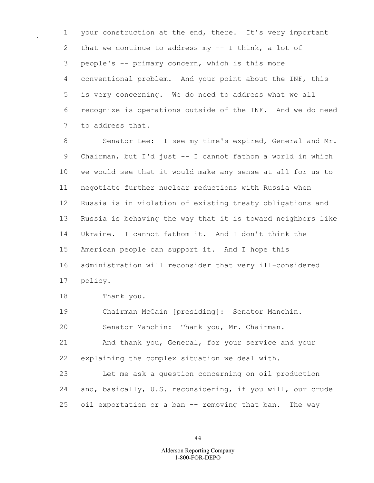1 your construction at the end, there. It's very important 2 that we continue to address my -- I think, a lot of 3 people's -- primary concern, which is this more 4 conventional problem. And your point about the INF, this 5 is very concerning. We do need to address what we all 6 recognize is operations outside of the INF. And we do need 7 to address that.

8 Senator Lee: I see my time's expired, General and Mr. 9 Chairman, but I'd just -- I cannot fathom a world in which 10 we would see that it would make any sense at all for us to 11 negotiate further nuclear reductions with Russia when 12 Russia is in violation of existing treaty obligations and 13 Russia is behaving the way that it is toward neighbors like 14 Ukraine. I cannot fathom it. And I don't think the 15 American people can support it. And I hope this 16 administration will reconsider that very ill-considered 17 policy.

18 Thank you.

19 Chairman McCain [presiding]: Senator Manchin.

20 Senator Manchin: Thank you, Mr. Chairman.

21 And thank you, General, for your service and your 22 explaining the complex situation we deal with.

23 Let me ask a question concerning on oil production 24 and, basically, U.S. reconsidering, if you will, our crude 25 oil exportation or a ban -- removing that ban. The way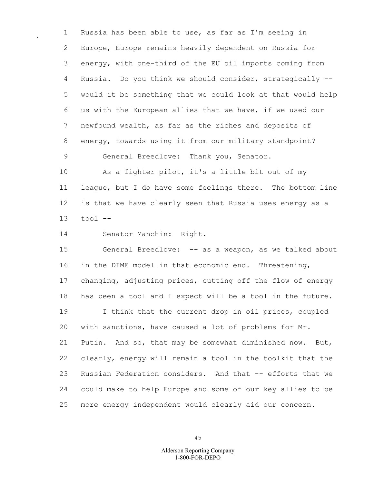1 Russia has been able to use, as far as I'm seeing in 2 Europe, Europe remains heavily dependent on Russia for 3 energy, with one-third of the EU oil imports coming from 4 Russia. Do you think we should consider, strategically -- 5 would it be something that we could look at that would help 6 us with the European allies that we have, if we used our 7 newfound wealth, as far as the riches and deposits of 8 energy, towards using it from our military standpoint? 9 General Breedlove: Thank you, Senator.

10 As a fighter pilot, it's a little bit out of my 11 league, but I do have some feelings there. The bottom line 12 is that we have clearly seen that Russia uses energy as a 13 tool --

14 Senator Manchin: Right.

15 General Breedlove: -- as a weapon, as we talked about 16 in the DIME model in that economic end. Threatening, 17 changing, adjusting prices, cutting off the flow of energy 18 has been a tool and I expect will be a tool in the future. 19 I think that the current drop in oil prices, coupled 20 with sanctions, have caused a lot of problems for Mr. 21 Putin. And so, that may be somewhat diminished now. But, 22 clearly, energy will remain a tool in the toolkit that the 23 Russian Federation considers. And that -- efforts that we 24 could make to help Europe and some of our key allies to be 25 more energy independent would clearly aid our concern.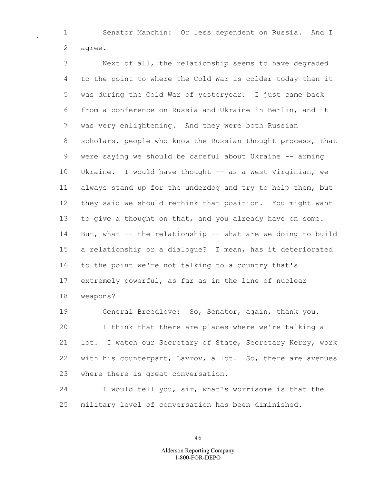1 Senator Manchin: Or less dependent on Russia. And I 2 agree.

3 Next of all, the relationship seems to have degraded 4 to the point to where the Cold War is colder today than it 5 was during the Cold War of yesteryear. I just came back 6 from a conference on Russia and Ukraine in Berlin, and it 7 was very enlightening. And they were both Russian 8 scholars, people who know the Russian thought process, that 9 were saying we should be careful about Ukraine -- arming 10 Ukraine. I would have thought -- as a West Virginian, we 11 always stand up for the underdog and try to help them, but 12 they said we should rethink that position. You might want 13 to give a thought on that, and you already have on some. 14 But, what -- the relationship -- what are we doing to build 15 a relationship or a dialogue? I mean, has it deteriorated 16 to the point we're not talking to a country that's 17 extremely powerful, as far as in the line of nuclear 18 weapons?

19 General Breedlove: So, Senator, again, thank you. 20 I think that there are places where we're talking a 21 lot. I watch our Secretary of State, Secretary Kerry, work 22 with his counterpart, Lavrov, a lot. So, there are avenues 23 where there is great conversation.

24 I would tell you, sir, what's worrisome is that the 25 military level of conversation has been diminished.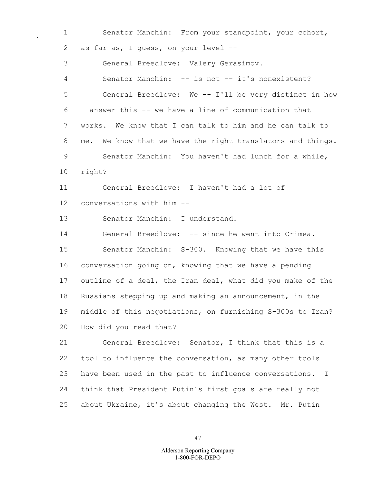1 Senator Manchin: From your standpoint, your cohort, 2 as far as, I guess, on your level -- 3 General Breedlove: Valery Gerasimov. 4 Senator Manchin: -- is not -- it's nonexistent? 5 General Breedlove: We -- I'll be very distinct in how 6 I answer this -- we have a line of communication that 7 works. We know that I can talk to him and he can talk to 8 me. We know that we have the right translators and things. 9 Senator Manchin: You haven't had lunch for a while, 10 right? 11 General Breedlove: I haven't had a lot of 12 conversations with him -- 13 Senator Manchin: I understand. 14 General Breedlove: -- since he went into Crimea. 15 Senator Manchin: S-300. Knowing that we have this 16 conversation going on, knowing that we have a pending 17 outline of a deal, the Iran deal, what did you make of the 18 Russians stepping up and making an announcement, in the 19 middle of this negotiations, on furnishing S-300s to Iran? 20 How did you read that? 21 General Breedlove: Senator, I think that this is a 22 tool to influence the conversation, as many other tools 23 have been used in the past to influence conversations. I 24 think that President Putin's first goals are really not

25 about Ukraine, it's about changing the West. Mr. Putin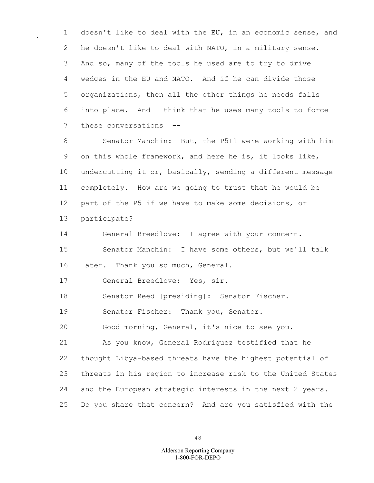1 doesn't like to deal with the EU, in an economic sense, and 2 he doesn't like to deal with NATO, in a military sense. 3 And so, many of the tools he used are to try to drive 4 wedges in the EU and NATO. And if he can divide those 5 organizations, then all the other things he needs falls 6 into place. And I think that he uses many tools to force 7 these conversations --

8 Senator Manchin: But, the P5+1 were working with him 9 on this whole framework, and here he is, it looks like, 10 undercutting it or, basically, sending a different message 11 completely. How are we going to trust that he would be 12 part of the P5 if we have to make some decisions, or 13 participate?

14 General Breedlove: I agree with your concern. 15 Senator Manchin: I have some others, but we'll talk 16 later. Thank you so much, General.

17 General Breedlove: Yes, sir.

18 Senator Reed [presiding]: Senator Fischer.

19 Senator Fischer: Thank you, Senator.

20 Good morning, General, it's nice to see you.

21 As you know, General Rodriguez testified that he 22 thought Libya-based threats have the highest potential of 23 threats in his region to increase risk to the United States 24 and the European strategic interests in the next 2 years. 25 Do you share that concern? And are you satisfied with the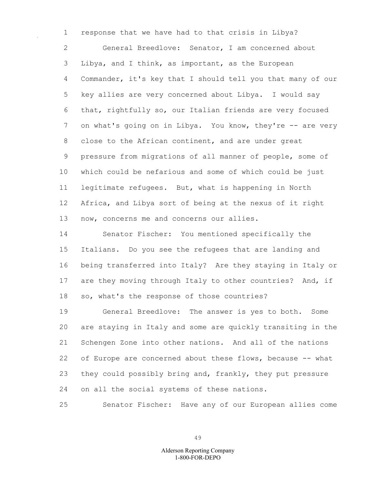1 response that we have had to that crisis in Libya? 2 General Breedlove: Senator, I am concerned about 3 Libya, and I think, as important, as the European 4 Commander, it's key that I should tell you that many of our 5 key allies are very concerned about Libya. I would say 6 that, rightfully so, our Italian friends are very focused 7 on what's going on in Libya. You know, they're -- are very 8 close to the African continent, and are under great 9 pressure from migrations of all manner of people, some of 10 which could be nefarious and some of which could be just 11 legitimate refugees. But, what is happening in North 12 Africa, and Libya sort of being at the nexus of it right 13 now, concerns me and concerns our allies.

14 Senator Fischer: You mentioned specifically the 15 Italians. Do you see the refugees that are landing and 16 being transferred into Italy? Are they staying in Italy or 17 are they moving through Italy to other countries? And, if 18 so, what's the response of those countries?

19 General Breedlove: The answer is yes to both. Some 20 are staying in Italy and some are quickly transiting in the 21 Schengen Zone into other nations. And all of the nations 22 of Europe are concerned about these flows, because -- what 23 they could possibly bring and, frankly, they put pressure 24 on all the social systems of these nations.

25 Senator Fischer: Have any of our European allies come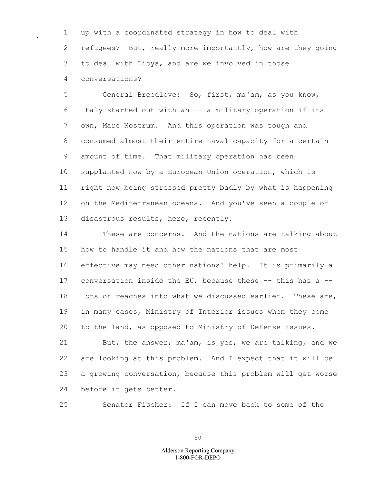1 up with a coordinated strategy in how to deal with 2 refugees? But, really more importantly, how are they going 3 to deal with Libya, and are we involved in those 4 conversations?

5 General Breedlove: So, first, ma'am, as you know, 6 Italy started out with an -- a military operation if its 7 own, Mare Nostrum. And this operation was tough and 8 consumed almost their entire naval capacity for a certain 9 amount of time. That military operation has been 10 supplanted now by a European Union operation, which is 11 right now being stressed pretty badly by what is happening 12 on the Mediterranean oceans. And you've seen a couple of 13 disastrous results, here, recently.

14 These are concerns. And the nations are talking about 15 how to handle it and how the nations that are most 16 effective may need other nations' help. It is primarily a 17 conversation inside the EU, because these -- this has a -- 18 lots of reaches into what we discussed earlier. These are, 19 in many cases, Ministry of Interior issues when they come 20 to the land, as opposed to Ministry of Defense issues.

21 But, the answer, ma'am, is yes, we are talking, and we 22 are looking at this problem. And I expect that it will be 23 a growing conversation, because this problem will get worse 24 before it gets better.

25 Senator Fischer: If I can move back to some of the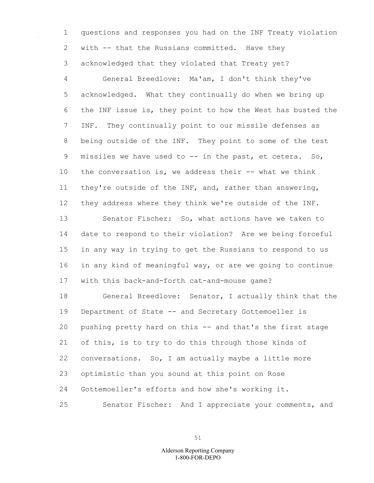1 questions and responses you had on the INF Treaty violation 2 with -- that the Russians committed. Have they 3 acknowledged that they violated that Treaty yet?

4 General Breedlove: Ma'am, I don't think they've 5 acknowledged. What they continually do when we bring up 6 the INF issue is, they point to how the West has busted the 7 INF. They continually point to our missile defenses as 8 being outside of the INF. They point to some of the test 9 missiles we have used to -- in the past, et cetera. So, 10 the conversation is, we address their -- what we think 11 they're outside of the INF, and, rather than answering, 12 they address where they think we're outside of the INF. 13 Senator Fischer: So, what actions have we taken to 14 date to respond to their violation? Are we being forceful 15 in any way in trying to get the Russians to respond to us 16 in any kind of meaningful way, or are we going to continue 17 with this back-and-forth cat-and-mouse game?

18 General Breedlove: Senator, I actually think that the 19 Department of State -- and Secretary Gottemoeller is 20 pushing pretty hard on this -- and that's the first stage 21 of this, is to try to do this through those kinds of 22 conversations. So, I am actually maybe a little more 23 optimistic than you sound at this point on Rose 24 Gottemoeller's efforts and how she's working it. 25 Senator Fischer: And I appreciate your comments, and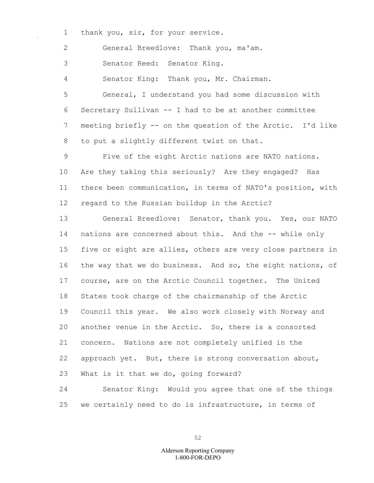1 thank you, sir, for your service.

2 General Breedlove: Thank you, ma'am.

3 Senator Reed: Senator King.

4 Senator King: Thank you, Mr. Chairman.

5 General, I understand you had some discussion with 6 Secretary Sullivan -- I had to be at another committee 7 meeting briefly -- on the question of the Arctic. I'd like 8 to put a slightly different twist on that.

9 Five of the eight Arctic nations are NATO nations. 10 Are they taking this seriously? Are they engaged? Has 11 there been communication, in terms of NATO's position, with 12 regard to the Russian buildup in the Arctic?

13 General Breedlove: Senator, thank you. Yes, our NATO 14 nations are concerned about this. And the -- while only 15 five or eight are allies, others are very close partners in 16 the way that we do business. And so, the eight nations, of 17 course, are on the Arctic Council together. The United 18 States took charge of the chairmanship of the Arctic 19 Council this year. We also work closely with Norway and 20 another venue in the Arctic. So, there is a consorted 21 concern. Nations are not completely unified in the 22 approach yet. But, there is strong conversation about, 23 What is it that we do, going forward?

24 Senator King: Would you agree that one of the things 25 we certainly need to do is infrastructure, in terms of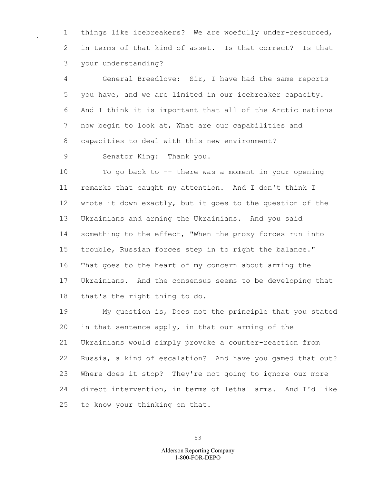1 things like icebreakers? We are woefully under-resourced, 2 in terms of that kind of asset. Is that correct? Is that 3 your understanding?

4 General Breedlove: Sir, I have had the same reports 5 you have, and we are limited in our icebreaker capacity. 6 And I think it is important that all of the Arctic nations 7 now begin to look at, What are our capabilities and 8 capacities to deal with this new environment?

9 Senator King: Thank you.

10 To go back to -- there was a moment in your opening 11 remarks that caught my attention. And I don't think I 12 wrote it down exactly, but it goes to the question of the 13 Ukrainians and arming the Ukrainians. And you said 14 something to the effect, "When the proxy forces run into 15 trouble, Russian forces step in to right the balance." 16 That goes to the heart of my concern about arming the 17 Ukrainians. And the consensus seems to be developing that 18 that's the right thing to do.

19 My question is, Does not the principle that you stated 20 in that sentence apply, in that our arming of the 21 Ukrainians would simply provoke a counter-reaction from 22 Russia, a kind of escalation? And have you gamed that out? 23 Where does it stop? They're not going to ignore our more 24 direct intervention, in terms of lethal arms. And I'd like 25 to know your thinking on that.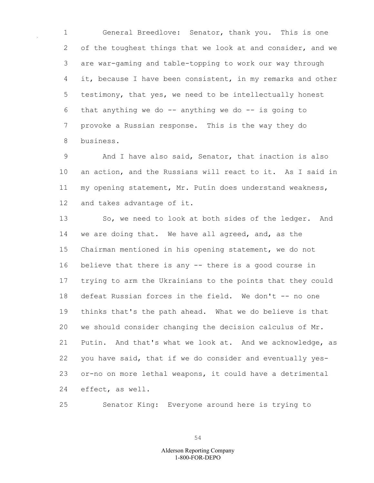1 General Breedlove: Senator, thank you. This is one 2 of the toughest things that we look at and consider, and we 3 are war-gaming and table-topping to work our way through 4 it, because I have been consistent, in my remarks and other 5 testimony, that yes, we need to be intellectually honest 6 that anything we do  $-$  anything we do  $-$  is going to 7 provoke a Russian response. This is the way they do 8 business.

9 And I have also said, Senator, that inaction is also 10 an action, and the Russians will react to it. As I said in 11 my opening statement, Mr. Putin does understand weakness, 12 and takes advantage of it.

13 So, we need to look at both sides of the ledger. And 14 we are doing that. We have all agreed, and, as the 15 Chairman mentioned in his opening statement, we do not 16 believe that there is any -- there is a good course in 17 trying to arm the Ukrainians to the points that they could 18 defeat Russian forces in the field. We don't -- no one 19 thinks that's the path ahead. What we do believe is that 20 we should consider changing the decision calculus of Mr. 21 Putin. And that's what we look at. And we acknowledge, as 22 you have said, that if we do consider and eventually yes-23 or-no on more lethal weapons, it could have a detrimental 24 effect, as well.

25 Senator King: Everyone around here is trying to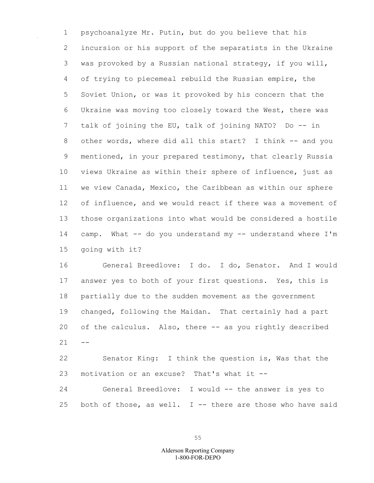1 psychoanalyze Mr. Putin, but do you believe that his 2 incursion or his support of the separatists in the Ukraine 3 was provoked by a Russian national strategy, if you will, 4 of trying to piecemeal rebuild the Russian empire, the 5 Soviet Union, or was it provoked by his concern that the 6 Ukraine was moving too closely toward the West, there was 7 talk of joining the EU, talk of joining NATO? Do -- in 8 other words, where did all this start? I think -- and you 9 mentioned, in your prepared testimony, that clearly Russia 10 views Ukraine as within their sphere of influence, just as 11 we view Canada, Mexico, the Caribbean as within our sphere 12 of influence, and we would react if there was a movement of 13 those organizations into what would be considered a hostile 14 camp. What -- do you understand my -- understand where I'm 15 going with it?

16 General Breedlove: I do. I do, Senator. And I would 17 answer yes to both of your first questions. Yes, this is 18 partially due to the sudden movement as the government 19 changed, following the Maidan. That certainly had a part 20 of the calculus. Also, there -- as you rightly described  $21 - -$ 

22 Senator King: I think the question is, Was that the 23 motivation or an excuse? That's what it --

24 General Breedlove: I would -- the answer is yes to 25 both of those, as well. I  $-$ - there are those who have said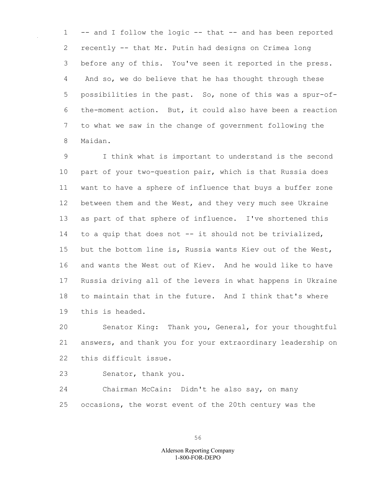1 -- and I follow the logic -- that -- and has been reported 2 recently -- that Mr. Putin had designs on Crimea long 3 before any of this. You've seen it reported in the press. 4 And so, we do believe that he has thought through these 5 possibilities in the past. So, none of this was a spur-of-6 the-moment action. But, it could also have been a reaction 7 to what we saw in the change of government following the 8 Maidan.

9 I think what is important to understand is the second 10 part of your two-question pair, which is that Russia does 11 want to have a sphere of influence that buys a buffer zone 12 between them and the West, and they very much see Ukraine 13 as part of that sphere of influence. I've shortened this 14 to a quip that does not -- it should not be trivialized, 15 but the bottom line is, Russia wants Kiev out of the West, 16 and wants the West out of Kiev. And he would like to have 17 Russia driving all of the levers in what happens in Ukraine 18 to maintain that in the future. And I think that's where 19 this is headed.

20 Senator King: Thank you, General, for your thoughtful 21 answers, and thank you for your extraordinary leadership on 22 this difficult issue.

23 Senator, thank you.

24 Chairman McCain: Didn't he also say, on many 25 occasions, the worst event of the 20th century was the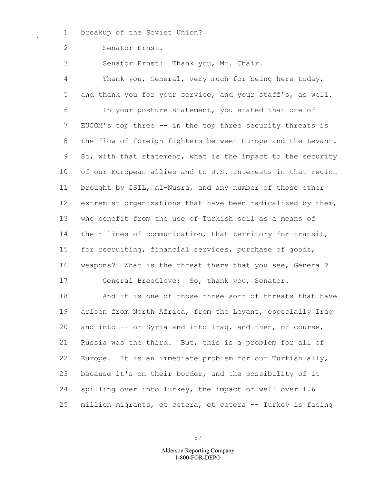1 breakup of the Soviet Union?

2 Senator Ernst.

3 Senator Ernst: Thank you, Mr. Chair.

4 Thank you, General, very much for being here today, 5 and thank you for your service, and your staff's, as well. 6 In your posture statement, you stated that one of 7 EUCOM's top three -- in the top three security threats is 8 the flow of foreign fighters between Europe and the Levant. 9 So, with that statement, what is the impact to the security 10 of our European allies and to U.S. interests in that region 11 brought by ISIL, al-Nusra, and any number of those other 12 extremist organizations that have been radicalized by them, 13 who benefit from the use of Turkish soil as a means of 14 their lines of communication, that territory for transit, 15 for recruiting, financial services, purchase of goods, 16 weapons? What is the threat there that you see, General? 17 General Breedlove: So, thank you, Senator. 18 And it is one of those three sort of threats that have

19 arisen from North Africa, from the Levant, especially Iraq 20 and into -- or Syria and into Iraq, and then, of course, 21 Russia was the third. But, this is a problem for all of 22 Europe. It is an immediate problem for our Turkish ally, 23 because it's on their border, and the possibility of it 24 spilling over into Turkey, the impact of well over 1.6 25 million migrants, et cetera, et cetera -- Turkey is facing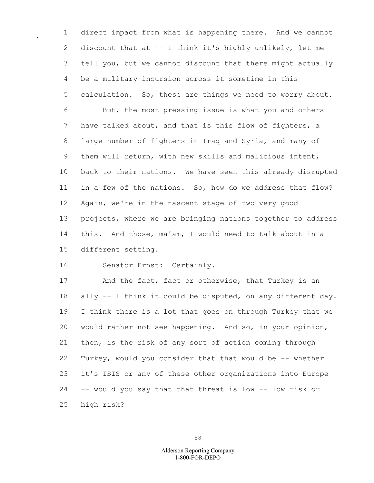1 direct impact from what is happening there. And we cannot 2 discount that at -- I think it's highly unlikely, let me 3 tell you, but we cannot discount that there might actually 4 be a military incursion across it sometime in this 5 calculation. So, these are things we need to worry about. 6 But, the most pressing issue is what you and others 7 have talked about, and that is this flow of fighters, a 8 large number of fighters in Iraq and Syria, and many of 9 them will return, with new skills and malicious intent, 10 back to their nations. We have seen this already disrupted 11 in a few of the nations. So, how do we address that flow? 12 Again, we're in the nascent stage of two very good 13 projects, where we are bringing nations together to address 14 this. And those, ma'am, I would need to talk about in a 15 different setting.

16 Senator Ernst: Certainly.

17 And the fact, fact or otherwise, that Turkey is an 18 ally -- I think it could be disputed, on any different day. 19 I think there is a lot that goes on through Turkey that we 20 would rather not see happening. And so, in your opinion, 21 then, is the risk of any sort of action coming through 22 Turkey, would you consider that that would be -- whether 23 it's ISIS or any of these other organizations into Europe 24 -- would you say that that threat is low -- low risk or 25 high risk?

58

## 1-800-FOR-DEPO Alderson Reporting Company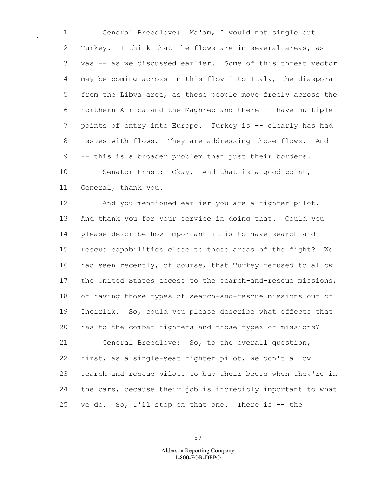1 General Breedlove: Ma'am, I would not single out 2 Turkey. I think that the flows are in several areas, as 3 was -- as we discussed earlier. Some of this threat vector 4 may be coming across in this flow into Italy, the diaspora 5 from the Libya area, as these people move freely across the 6 northern Africa and the Maghreb and there -- have multiple 7 points of entry into Europe. Turkey is -- clearly has had 8 issues with flows. They are addressing those flows. And I 9 -- this is a broader problem than just their borders.

10 Senator Ernst: Okay. And that is a good point, 11 General, thank you.

12 And you mentioned earlier you are a fighter pilot. 13 And thank you for your service in doing that. Could you 14 please describe how important it is to have search-and-15 rescue capabilities close to those areas of the fight? We 16 had seen recently, of course, that Turkey refused to allow 17 the United States access to the search-and-rescue missions, 18 or having those types of search-and-rescue missions out of 19 Incirlik. So, could you please describe what effects that 20 has to the combat fighters and those types of missions? 21 General Breedlove: So, to the overall question, 22 first, as a single-seat fighter pilot, we don't allow 23 search-and-rescue pilots to buy their beers when they're in 24 the bars, because their job is incredibly important to what 25 we do. So, I'll stop on that one. There is -- the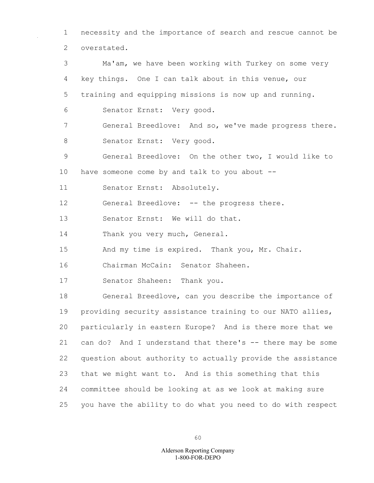1 necessity and the importance of search and rescue cannot be 2 overstated.

3 Ma'am, we have been working with Turkey on some very 4 key things. One I can talk about in this venue, our 5 training and equipping missions is now up and running. 6 Senator Ernst: Very good. 7 General Breedlove: And so, we've made progress there. 8 Senator Ernst: Very good. 9 General Breedlove: On the other two, I would like to 10 have someone come by and talk to you about -- 11 Senator Ernst: Absolutely. 12 General Breedlove: -- the progress there. 13 Senator Ernst: We will do that. 14 Thank you very much, General. 15 And my time is expired. Thank you, Mr. Chair. 16 Chairman McCain: Senator Shaheen. 17 Senator Shaheen: Thank you. 18 General Breedlove, can you describe the importance of 19 providing security assistance training to our NATO allies, 20 particularly in eastern Europe? And is there more that we 21 can do? And I understand that there's -- there may be some 22 question about authority to actually provide the assistance 23 that we might want to. And is this something that this 24 committee should be looking at as we look at making sure 25 you have the ability to do what you need to do with respect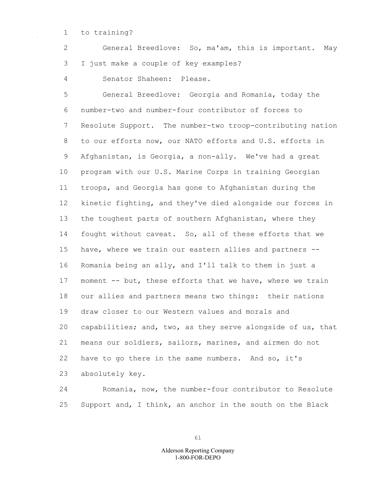1 to training?

2 General Breedlove: So, ma'am, this is important. May 3 I just make a couple of key examples?

4 Senator Shaheen: Please.

5 General Breedlove: Georgia and Romania, today the 6 number-two and number-four contributor of forces to 7 Resolute Support. The number-two troop-contributing nation 8 to our efforts now, our NATO efforts and U.S. efforts in 9 Afghanistan, is Georgia, a non-ally. We've had a great 10 program with our U.S. Marine Corps in training Georgian 11 troops, and Georgia has gone to Afghanistan during the 12 kinetic fighting, and they've died alongside our forces in 13 the toughest parts of southern Afghanistan, where they 14 fought without caveat. So, all of these efforts that we 15 have, where we train our eastern allies and partners -- 16 Romania being an ally, and I'll talk to them in just a 17 moment -- but, these efforts that we have, where we train 18 our allies and partners means two things: their nations 19 draw closer to our Western values and morals and 20 capabilities; and, two, as they serve alongside of us, that 21 means our soldiers, sailors, marines, and airmen do not 22 have to go there in the same numbers. And so, it's 23 absolutely key.

24 Romania, now, the number-four contributor to Resolute 25 Support and, I think, an anchor in the south on the Black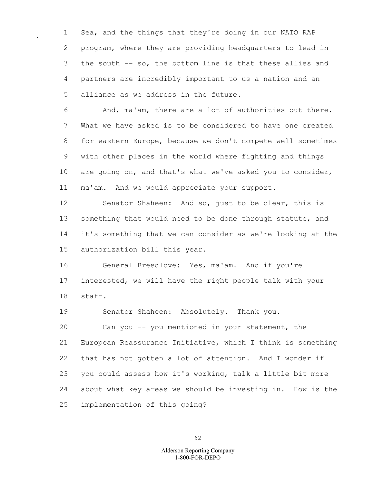1 Sea, and the things that they're doing in our NATO RAP 2 program, where they are providing headquarters to lead in 3 the south -- so, the bottom line is that these allies and 4 partners are incredibly important to us a nation and an 5 alliance as we address in the future.

6 And, ma'am, there are a lot of authorities out there. 7 What we have asked is to be considered to have one created 8 for eastern Europe, because we don't compete well sometimes 9 with other places in the world where fighting and things 10 are going on, and that's what we've asked you to consider, 11 ma'am. And we would appreciate your support.

12 Senator Shaheen: And so, just to be clear, this is 13 something that would need to be done through statute, and 14 it's something that we can consider as we're looking at the 15 authorization bill this year.

16 General Breedlove: Yes, ma'am. And if you're 17 interested, we will have the right people talk with your 18 staff.

19 Senator Shaheen: Absolutely. Thank you.

20 Can you -- you mentioned in your statement, the 21 European Reassurance Initiative, which I think is something 22 that has not gotten a lot of attention. And I wonder if 23 you could assess how it's working, talk a little bit more 24 about what key areas we should be investing in. How is the 25 implementation of this going?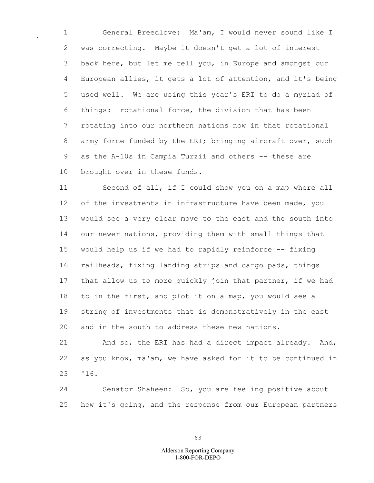1 General Breedlove: Ma'am, I would never sound like I 2 was correcting. Maybe it doesn't get a lot of interest 3 back here, but let me tell you, in Europe and amongst our 4 European allies, it gets a lot of attention, and it's being 5 used well. We are using this year's ERI to do a myriad of 6 things: rotational force, the division that has been 7 rotating into our northern nations now in that rotational 8 army force funded by the ERI; bringing aircraft over, such 9 as the A-10s in Campia Turzii and others -- these are 10 brought over in these funds.

11 Second of all, if I could show you on a map where all 12 of the investments in infrastructure have been made, you 13 would see a very clear move to the east and the south into 14 our newer nations, providing them with small things that 15 would help us if we had to rapidly reinforce -- fixing 16 railheads, fixing landing strips and cargo pads, things 17 that allow us to more quickly join that partner, if we had 18 to in the first, and plot it on a map, you would see a 19 string of investments that is demonstratively in the east 20 and in the south to address these new nations.

21 And so, the ERI has had a direct impact already. And, 22 as you know, ma'am, we have asked for it to be continued in 23 '16.

24 Senator Shaheen: So, you are feeling positive about 25 how it's going, and the response from our European partners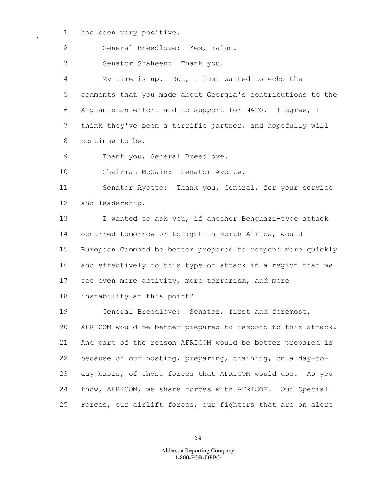1 has been very positive.

2 General Breedlove: Yes, ma'am.

3 Senator Shaheen: Thank you.

4 My time is up. But, I just wanted to echo the 5 comments that you made about Georgia's contributions to the 6 Afghanistan effort and to support for NATO. I agree, I 7 think they've been a terrific partner, and hopefully will 8 continue to be.

9 Thank you, General Breedlove.

10 Chairman McCain: Senator Ayotte.

11 Senator Ayotte: Thank you, General, for your service 12 and leadership.

13 I wanted to ask you, if another Benghazi-type attack 14 occurred tomorrow or tonight in North Africa, would 15 European Command be better prepared to respond more quickly 16 and effectively to this type of attack in a region that we 17 see even more activity, more terrorism, and more

18 instability at this point?

19 General Breedlove: Senator, first and foremost, 20 AFRICOM would be better prepared to respond to this attack. 21 And part of the reason AFRICOM would be better prepared is 22 because of our hosting, preparing, training, on a day-to-23 day basis, of those forces that AFRICOM would use. As you 24 know, AFRICOM, we share forces with AFRICOM. Our Special 25 Forces, our airlift forces, our fighters that are on alert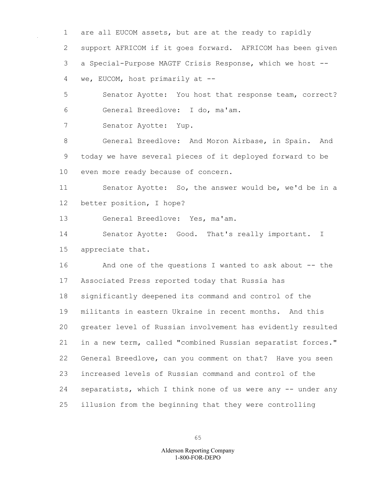1 are all EUCOM assets, but are at the ready to rapidly 2 support AFRICOM if it goes forward. AFRICOM has been given 3 a Special-Purpose MAGTF Crisis Response, which we host -- 4 we, EUCOM, host primarily at --

5 Senator Ayotte: You host that response team, correct? 6 General Breedlove: I do, ma'am.

7 Senator Ayotte: Yup.

8 General Breedlove: And Moron Airbase, in Spain. And 9 today we have several pieces of it deployed forward to be 10 even more ready because of concern.

11 Senator Ayotte: So, the answer would be, we'd be in a 12 better position, I hope?

13 General Breedlove: Yes, ma'am.

14 Senator Ayotte: Good. That's really important. I 15 appreciate that.

16 And one of the questions I wanted to ask about -- the 17 Associated Press reported today that Russia has 18 significantly deepened its command and control of the 19 militants in eastern Ukraine in recent months. And this 20 greater level of Russian involvement has evidently resulted 21 in a new term, called "combined Russian separatist forces." 22 General Breedlove, can you comment on that? Have you seen 23 increased levels of Russian command and control of the 24 separatists, which I think none of us were any -- under any 25 illusion from the beginning that they were controlling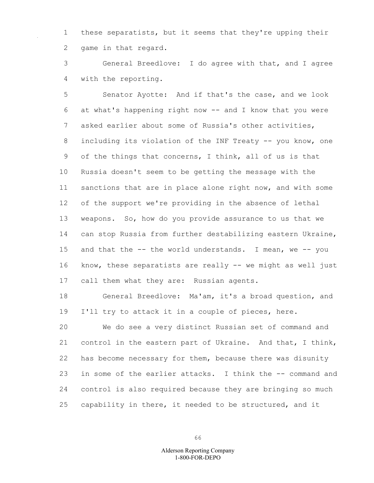1 these separatists, but it seems that they're upping their 2 game in that regard.

3 General Breedlove: I do agree with that, and I agree 4 with the reporting.

5 Senator Ayotte: And if that's the case, and we look 6 at what's happening right now -- and I know that you were 7 asked earlier about some of Russia's other activities, 8 including its violation of the INF Treaty -- you know, one 9 of the things that concerns, I think, all of us is that 10 Russia doesn't seem to be getting the message with the 11 sanctions that are in place alone right now, and with some 12 of the support we're providing in the absence of lethal 13 weapons. So, how do you provide assurance to us that we 14 can stop Russia from further destabilizing eastern Ukraine, 15 and that the -- the world understands. I mean, we -- you 16 know, these separatists are really -- we might as well just 17 call them what they are: Russian agents.

18 General Breedlove: Ma'am, it's a broad question, and 19 I'll try to attack it in a couple of pieces, here.

20 We do see a very distinct Russian set of command and 21 control in the eastern part of Ukraine. And that, I think, 22 has become necessary for them, because there was disunity 23 in some of the earlier attacks. I think the -- command and 24 control is also required because they are bringing so much 25 capability in there, it needed to be structured, and it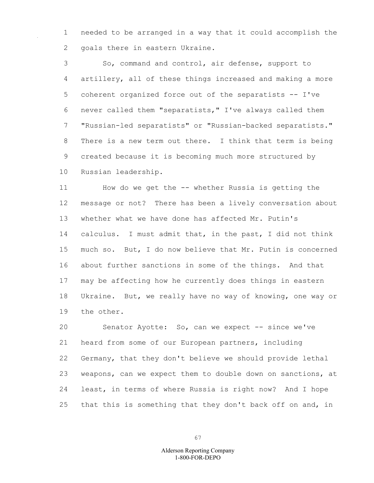1 needed to be arranged in a way that it could accomplish the 2 goals there in eastern Ukraine.

3 So, command and control, air defense, support to 4 artillery, all of these things increased and making a more 5 coherent organized force out of the separatists -- I've 6 never called them "separatists," I've always called them 7 "Russian-led separatists" or "Russian-backed separatists." 8 There is a new term out there. I think that term is being 9 created because it is becoming much more structured by 10 Russian leadership.

11 How do we get the -- whether Russia is getting the 12 message or not? There has been a lively conversation about 13 whether what we have done has affected Mr. Putin's 14 calculus. I must admit that, in the past, I did not think 15 much so. But, I do now believe that Mr. Putin is concerned 16 about further sanctions in some of the things. And that 17 may be affecting how he currently does things in eastern 18 Ukraine. But, we really have no way of knowing, one way or 19 the other.

20 Senator Ayotte: So, can we expect -- since we've 21 heard from some of our European partners, including 22 Germany, that they don't believe we should provide lethal 23 weapons, can we expect them to double down on sanctions, at 24 least, in terms of where Russia is right now? And I hope 25 that this is something that they don't back off on and, in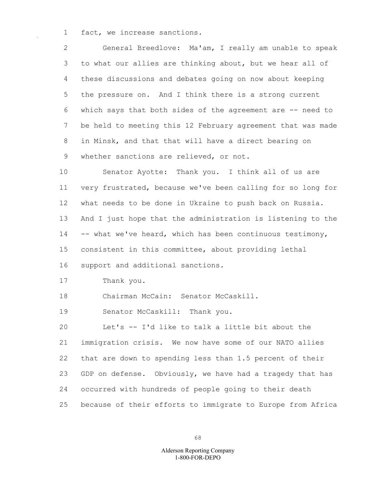1 fact, we increase sanctions.

2 General Breedlove: Ma'am, I really am unable to speak 3 to what our allies are thinking about, but we hear all of 4 these discussions and debates going on now about keeping 5 the pressure on. And I think there is a strong current 6 which says that both sides of the agreement are -- need to 7 be held to meeting this 12 February agreement that was made 8 in Minsk, and that that will have a direct bearing on 9 whether sanctions are relieved, or not.

10 Senator Ayotte: Thank you. I think all of us are 11 very frustrated, because we've been calling for so long for 12 what needs to be done in Ukraine to push back on Russia. 13 And I just hope that the administration is listening to the 14 -- what we've heard, which has been continuous testimony, 15 consistent in this committee, about providing lethal 16 support and additional sanctions.

17 Thank you.

18 Chairman McCain: Senator McCaskill.

19 Senator McCaskill: Thank you.

20 Let's -- I'd like to talk a little bit about the 21 immigration crisis. We now have some of our NATO allies 22 that are down to spending less than 1.5 percent of their 23 GDP on defense. Obviously, we have had a tragedy that has 24 occurred with hundreds of people going to their death 25 because of their efforts to immigrate to Europe from Africa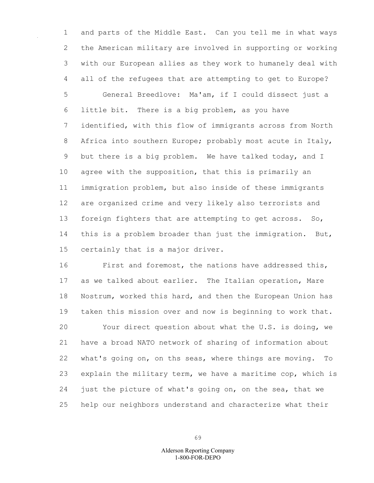1 and parts of the Middle East. Can you tell me in what ways 2 the American military are involved in supporting or working 3 with our European allies as they work to humanely deal with 4 all of the refugees that are attempting to get to Europe? 5 General Breedlove: Ma'am, if I could dissect just a 6 little bit. There is a big problem, as you have 7 identified, with this flow of immigrants across from North 8 Africa into southern Europe; probably most acute in Italy, 9 but there is a big problem. We have talked today, and I 10 agree with the supposition, that this is primarily an 11 immigration problem, but also inside of these immigrants 12 are organized crime and very likely also terrorists and 13 foreign fighters that are attempting to get across. So, 14 this is a problem broader than just the immigration. But, 15 certainly that is a major driver.

16 First and foremost, the nations have addressed this, 17 as we talked about earlier. The Italian operation, Mare 18 Nostrum, worked this hard, and then the European Union has 19 taken this mission over and now is beginning to work that. 20 Your direct question about what the U.S. is doing, we 21 have a broad NATO network of sharing of information about 22 what's going on, on ths seas, where things are moving. To 23 explain the military term, we have a maritime cop, which is 24 just the picture of what's going on, on the sea, that we 25 help our neighbors understand and characterize what their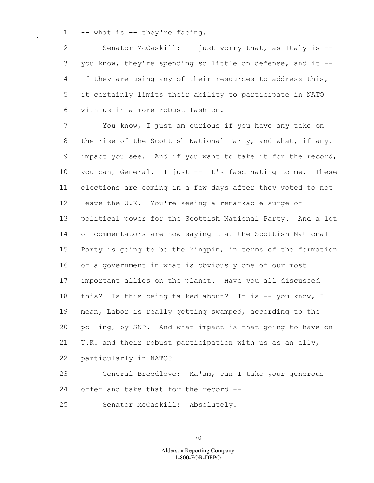1 -- what is -- they're facing.

2 Senator McCaskill: I just worry that, as Italy is -- 3 you know, they're spending so little on defense, and it -- 4 if they are using any of their resources to address this, 5 it certainly limits their ability to participate in NATO 6 with us in a more robust fashion.

7 You know, I just am curious if you have any take on 8 the rise of the Scottish National Party, and what, if any, 9 impact you see. And if you want to take it for the record, 10 you can, General. I just -- it's fascinating to me. These 11 elections are coming in a few days after they voted to not 12 leave the U.K. You're seeing a remarkable surge of 13 political power for the Scottish National Party. And a lot 14 of commentators are now saying that the Scottish National 15 Party is going to be the kingpin, in terms of the formation 16 of a government in what is obviously one of our most 17 important allies on the planet. Have you all discussed 18 this? Is this being talked about? It is -- you know, I 19 mean, Labor is really getting swamped, according to the 20 polling, by SNP. And what impact is that going to have on 21 U.K. and their robust participation with us as an ally, 22 particularly in NATO?

23 General Breedlove: Ma'am, can I take your generous 24 offer and take that for the record --

25 Senator McCaskill: Absolutely.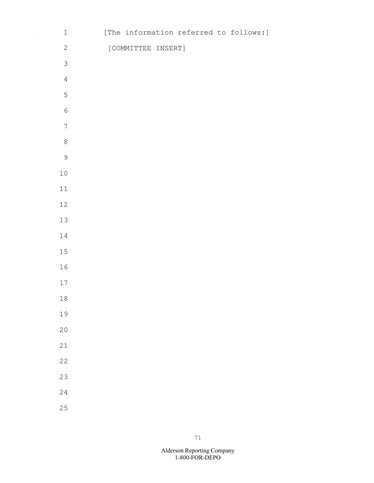| $\ensuremath{\mathbbm{1}}$ |                    |  | [The information referred to follows:] |
|----------------------------|--------------------|--|----------------------------------------|
| $\mathbf{2}$               | [COMMITTEE INSERT] |  |                                        |
| $\mathfrak{Z}$             |                    |  |                                        |
| $\overline{4}$             |                    |  |                                        |
| 5                          |                    |  |                                        |
| $\sqrt{6}$                 |                    |  |                                        |
| $\boldsymbol{7}$           |                    |  |                                        |
| $\,8\,$                    |                    |  |                                        |
| $\mathsf 9$                |                    |  |                                        |
| $1\,0$                     |                    |  |                                        |
| $11\,$                     |                    |  |                                        |
| $12\,$                     |                    |  |                                        |
| $13$                       |                    |  |                                        |
| $14\,$                     |                    |  |                                        |
| $15$                       |                    |  |                                        |
| 16                         |                    |  |                                        |
| 17                         |                    |  |                                        |
| $1\,8$                     |                    |  |                                        |
| 19                         |                    |  |                                        |
| 20                         |                    |  |                                        |
| 21                         |                    |  |                                        |
| 22                         |                    |  |                                        |
| 23                         |                    |  |                                        |
| 24                         |                    |  |                                        |
| 25                         |                    |  |                                        |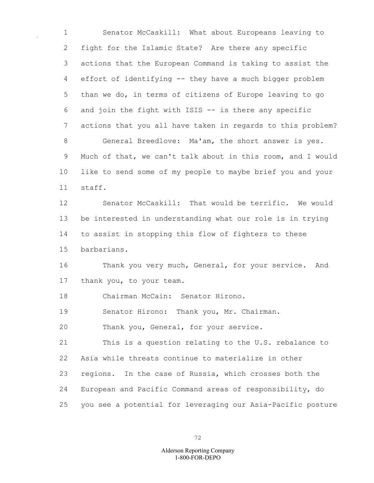1 Senator McCaskill: What about Europeans leaving to 2 fight for the Islamic State? Are there any specific 3 actions that the European Command is taking to assist the 4 effort of identifying -- they have a much bigger problem 5 than we do, in terms of citizens of Europe leaving to go 6 and join the fight with ISIS -- is there any specific 7 actions that you all have taken in regards to this problem? 8 General Breedlove: Ma'am, the short answer is yes. 9 Much of that, we can't talk about in this room, and I would 10 like to send some of my people to maybe brief you and your 11 staff.

12 Senator McCaskill: That would be terrific. We would 13 be interested in understanding what our role is in trying 14 to assist in stopping this flow of fighters to these 15 barbarians.

16 Thank you very much, General, for your service. And 17 thank you, to your team.

18 Chairman McCain: Senator Hirono.

19 Senator Hirono: Thank you, Mr. Chairman.

20 Thank you, General, for your service.

21 This is a question relating to the U.S. rebalance to 22 Asia while threats continue to materialize in other 23 regions. In the case of Russia, which crosses both the 24 European and Pacific Command areas of responsibility, do 25 you see a potential for leveraging our Asia-Pacific posture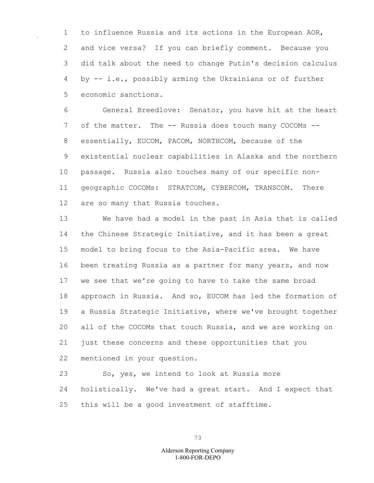1 to influence Russia and its actions in the European AOR, 2 and vice versa? If you can briefly comment. Because you 3 did talk about the need to change Putin's decision calculus 4 by -- i.e., possibly arming the Ukrainians or of further 5 economic sanctions.

6 General Breedlove: Senator, you have hit at the heart 7 of the matter. The -- Russia does touch many COCOMs --8 essentially, EUCOM, PACOM, NORTHCOM, because of the 9 existential nuclear capabilities in Alaska and the northern 10 passage. Russia also touches many of our specific non-11 geographic COCOMs: STRATCOM, CYBERCOM, TRANSCOM. There 12 are so many that Russia touches.

13 We have had a model in the past in Asia that is called 14 the Chinese Strategic Initiative, and it has been a great 15 model to bring focus to the Asia-Pacific area. We have 16 been treating Russia as a partner for many years, and now 17 we see that we're going to have to take the same broad 18 approach in Russia. And so, EUCOM has led the formation of 19 a Russia Strategic Initiative, where we've brought together 20 all of the COCOMs that touch Russia, and we are working on 21 just these concerns and these opportunities that you 22 mentioned in your question.

23 So, yes, we intend to look at Russia more 24 holistically. We've had a great start. And I expect that 25 this will be a good investment of stafftime.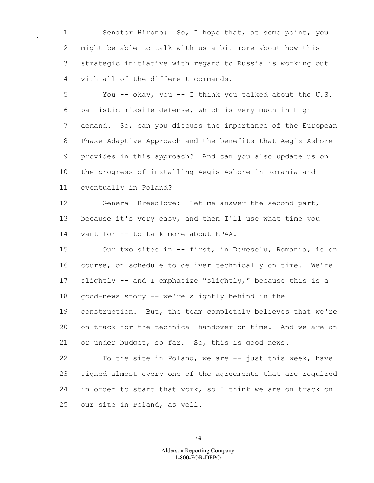1 Senator Hirono: So, I hope that, at some point, you 2 might be able to talk with us a bit more about how this 3 strategic initiative with regard to Russia is working out 4 with all of the different commands.

5 You -- okay, you -- I think you talked about the U.S. 6 ballistic missile defense, which is very much in high 7 demand. So, can you discuss the importance of the European 8 Phase Adaptive Approach and the benefits that Aegis Ashore 9 provides in this approach? And can you also update us on 10 the progress of installing Aegis Ashore in Romania and 11 eventually in Poland?

12 General Breedlove: Let me answer the second part, 13 because it's very easy, and then I'll use what time you 14 want for -- to talk more about EPAA.

15 Our two sites in -- first, in Deveselu, Romania, is on 16 course, on schedule to deliver technically on time. We're 17 slightly -- and I emphasize "slightly," because this is a 18 good-news story -- we're slightly behind in the 19 construction. But, the team completely believes that we're 20 on track for the technical handover on time. And we are on 21 or under budget, so far. So, this is good news.

22 To the site in Poland, we are -- just this week, have 23 signed almost every one of the agreements that are required 24 in order to start that work, so I think we are on track on 25 our site in Poland, as well.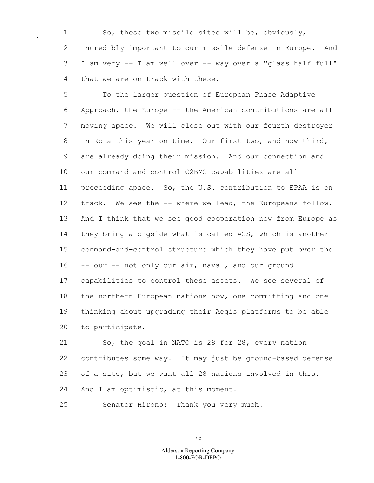1 So, these two missile sites will be, obviously, 2 incredibly important to our missile defense in Europe. And 3 I am very -- I am well over -- way over a "glass half full" 4 that we are on track with these.

5 To the larger question of European Phase Adaptive 6 Approach, the Europe -- the American contributions are all 7 moving apace. We will close out with our fourth destroyer 8 in Rota this year on time. Our first two, and now third, 9 are already doing their mission. And our connection and 10 our command and control C2BMC capabilities are all 11 proceeding apace. So, the U.S. contribution to EPAA is on 12 track. We see the -- where we lead, the Europeans follow. 13 And I think that we see good cooperation now from Europe as 14 they bring alongside what is called ACS, which is another 15 command-and-control structure which they have put over the 16 -- our -- not only our air, naval, and our ground 17 capabilities to control these assets. We see several of 18 the northern European nations now, one committing and one 19 thinking about upgrading their Aegis platforms to be able 20 to participate.

21 So, the goal in NATO is 28 for 28, every nation 22 contributes some way. It may just be ground-based defense 23 of a site, but we want all 28 nations involved in this. 24 And I am optimistic, at this moment.

25 Senator Hirono: Thank you very much.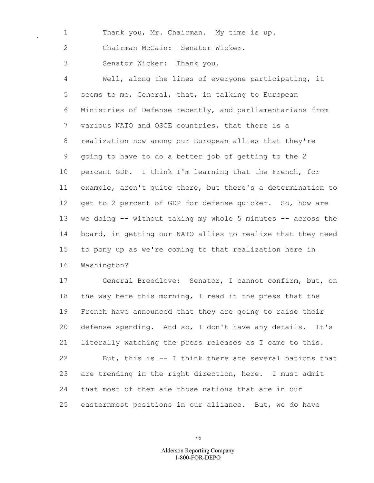1 Thank you, Mr. Chairman. My time is up.

2 Chairman McCain: Senator Wicker.

3 Senator Wicker: Thank you.

4 Well, along the lines of everyone participating, it 5 seems to me, General, that, in talking to European 6 Ministries of Defense recently, and parliamentarians from 7 various NATO and OSCE countries, that there is a 8 realization now among our European allies that they're 9 going to have to do a better job of getting to the 2 10 percent GDP. I think I'm learning that the French, for 11 example, aren't quite there, but there's a determination to 12 get to 2 percent of GDP for defense quicker. So, how are 13 we doing -- without taking my whole 5 minutes -- across the 14 board, in getting our NATO allies to realize that they need 15 to pony up as we're coming to that realization here in 16 Washington?

17 General Breedlove: Senator, I cannot confirm, but, on 18 the way here this morning, I read in the press that the 19 French have announced that they are going to raise their 20 defense spending. And so, I don't have any details. It's 21 literally watching the press releases as I came to this. 22 But, this is -- I think there are several nations that 23 are trending in the right direction, here. I must admit 24 that most of them are those nations that are in our 25 easternmost positions in our alliance. But, we do have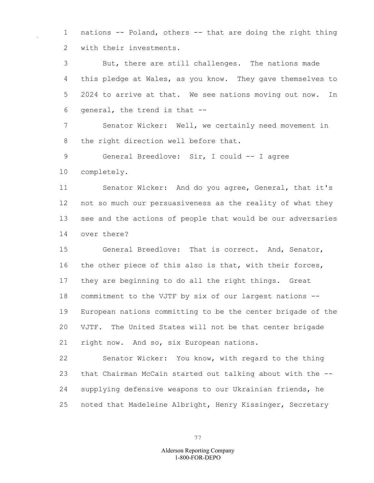1 nations -- Poland, others -- that are doing the right thing 2 with their investments.

3 But, there are still challenges. The nations made 4 this pledge at Wales, as you know. They gave themselves to 5 2024 to arrive at that. We see nations moving out now. In 6 general, the trend is that --

7 Senator Wicker: Well, we certainly need movement in 8 the right direction well before that.

9 General Breedlove: Sir, I could -- I agree

10 completely.

11 Senator Wicker: And do you agree, General, that it's 12 not so much our persuasiveness as the reality of what they 13 see and the actions of people that would be our adversaries 14 over there?

15 General Breedlove: That is correct. And, Senator, 16 the other piece of this also is that, with their forces, 17 they are beginning to do all the right things. Great 18 commitment to the VJTF by six of our largest nations -- 19 European nations committing to be the center brigade of the 20 VJTF. The United States will not be that center brigade 21 right now. And so, six European nations.

22 Senator Wicker: You know, with regard to the thing 23 that Chairman McCain started out talking about with the -- 24 supplying defensive weapons to our Ukrainian friends, he 25 noted that Madeleine Albright, Henry Kissinger, Secretary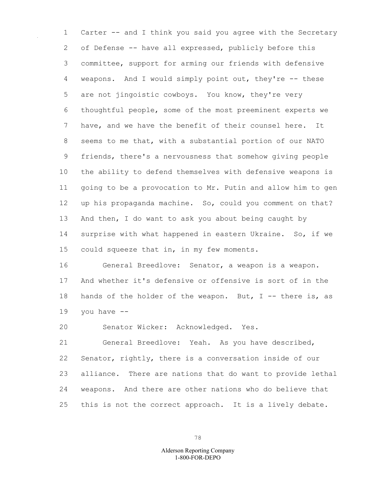1 Carter -- and I think you said you agree with the Secretary 2 of Defense -- have all expressed, publicly before this 3 committee, support for arming our friends with defensive 4 weapons. And I would simply point out, they're -- these 5 are not jingoistic cowboys. You know, they're very 6 thoughtful people, some of the most preeminent experts we 7 have, and we have the benefit of their counsel here. It 8 seems to me that, with a substantial portion of our NATO 9 friends, there's a nervousness that somehow giving people 10 the ability to defend themselves with defensive weapons is 11 going to be a provocation to Mr. Putin and allow him to gen 12 up his propaganda machine. So, could you comment on that? 13 And then, I do want to ask you about being caught by 14 surprise with what happened in eastern Ukraine. So, if we 15 could squeeze that in, in my few moments.

16 General Breedlove: Senator, a weapon is a weapon. 17 And whether it's defensive or offensive is sort of in the 18 hands of the holder of the weapon. But,  $I - -$  there is, as 19 you have  $-$ 

20 Senator Wicker: Acknowledged. Yes.

21 General Breedlove: Yeah. As you have described, 22 Senator, rightly, there is a conversation inside of our 23 alliance. There are nations that do want to provide lethal 24 weapons. And there are other nations who do believe that 25 this is not the correct approach. It is a lively debate.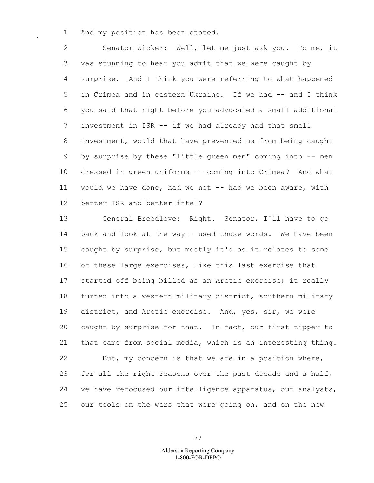1 And my position has been stated.

2 Senator Wicker: Well, let me just ask you. To me, it 3 was stunning to hear you admit that we were caught by 4 surprise. And I think you were referring to what happened 5 in Crimea and in eastern Ukraine. If we had -- and I think 6 you said that right before you advocated a small additional 7 investment in ISR -- if we had already had that small 8 investment, would that have prevented us from being caught 9 by surprise by these "little green men" coming into -- men 10 dressed in green uniforms -- coming into Crimea? And what 11 would we have done, had we not -- had we been aware, with 12 better ISR and better intel?

13 General Breedlove: Right. Senator, I'll have to go 14 back and look at the way I used those words. We have been 15 caught by surprise, but mostly it's as it relates to some 16 of these large exercises, like this last exercise that 17 started off being billed as an Arctic exercise; it really 18 turned into a western military district, southern military 19 district, and Arctic exercise. And, yes, sir, we were 20 caught by surprise for that. In fact, our first tipper to 21 that came from social media, which is an interesting thing. 22 But, my concern is that we are in a position where, 23 for all the right reasons over the past decade and a half, 24 we have refocused our intelligence apparatus, our analysts, 25 our tools on the wars that were going on, and on the new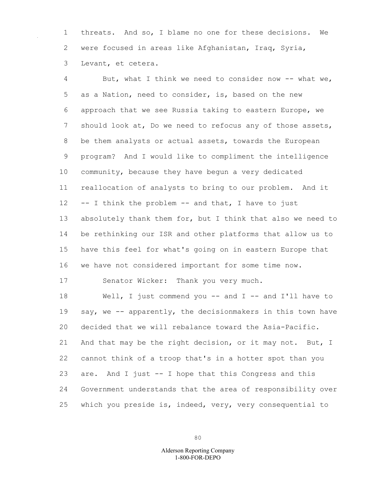1 threats. And so, I blame no one for these decisions. We 2 were focused in areas like Afghanistan, Iraq, Syria, 3 Levant, et cetera.

4 But, what I think we need to consider now -- what we, 5 as a Nation, need to consider, is, based on the new 6 approach that we see Russia taking to eastern Europe, we 7 should look at, Do we need to refocus any of those assets, 8 be them analysts or actual assets, towards the European 9 program? And I would like to compliment the intelligence 10 community, because they have begun a very dedicated 11 reallocation of analysts to bring to our problem. And it 12 -- I think the problem -- and that, I have to just 13 absolutely thank them for, but I think that also we need to 14 be rethinking our ISR and other platforms that allow us to 15 have this feel for what's going on in eastern Europe that 16 we have not considered important for some time now. 17 Senator Wicker: Thank you very much.

18 Well, I just commend you -- and I -- and I'll have to 19 say, we -- apparently, the decisionmakers in this town have 20 decided that we will rebalance toward the Asia-Pacific. 21 And that may be the right decision, or it may not. But, I 22 cannot think of a troop that's in a hotter spot than you 23 are. And I just -- I hope that this Congress and this 24 Government understands that the area of responsibility over 25 which you preside is, indeed, very, very consequential to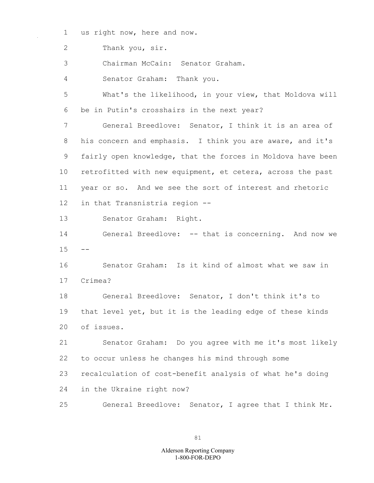1 us right now, here and now.

2 Thank you, sir.

3 Chairman McCain: Senator Graham.

4 Senator Graham: Thank you.

5 What's the likelihood, in your view, that Moldova will 6 be in Putin's crosshairs in the next year?

7 General Breedlove: Senator, I think it is an area of 8 his concern and emphasis. I think you are aware, and it's 9 fairly open knowledge, that the forces in Moldova have been 10 retrofitted with new equipment, et cetera, across the past 11 year or so. And we see the sort of interest and rhetoric 12 in that Transnistria region --

13 Senator Graham: Right.

14 General Breedlove: -- that is concerning. And now we  $15 - -$ 

16 Senator Graham: Is it kind of almost what we saw in 17 Crimea?

18 General Breedlove: Senator, I don't think it's to 19 that level yet, but it is the leading edge of these kinds 20 of issues.

21 Senator Graham: Do you agree with me it's most likely 22 to occur unless he changes his mind through some 23 recalculation of cost-benefit analysis of what he's doing

24 in the Ukraine right now?

25 General Breedlove: Senator, I agree that I think Mr.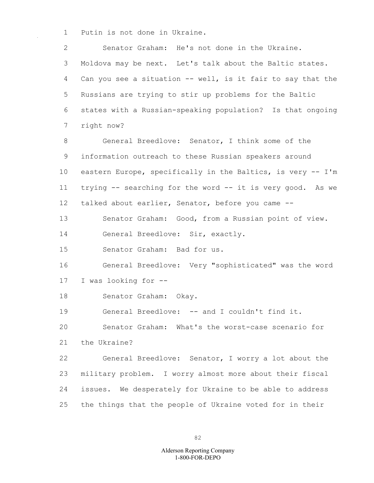1 Putin is not done in Ukraine.

2 Senator Graham: He's not done in the Ukraine. 3 Moldova may be next. Let's talk about the Baltic states. 4 Can you see a situation -- well, is it fair to say that the 5 Russians are trying to stir up problems for the Baltic 6 states with a Russian-speaking population? Is that ongoing 7 right now?

8 General Breedlove: Senator, I think some of the 9 information outreach to these Russian speakers around 10 eastern Europe, specifically in the Baltics, is very -- I'm 11 trying -- searching for the word -- it is very good. As we 12 talked about earlier, Senator, before you came --

13 Senator Graham: Good, from a Russian point of view.

14 General Breedlove: Sir, exactly.

15 Senator Graham: Bad for us.

16 General Breedlove: Very "sophisticated" was the word 17 I was looking for --

18 Senator Graham: Okay.

19 General Breedlove: -- and I couldn't find it.

20 Senator Graham: What's the worst-case scenario for

21 the Ukraine?

22 General Breedlove: Senator, I worry a lot about the 23 military problem. I worry almost more about their fiscal 24 issues. We desperately for Ukraine to be able to address 25 the things that the people of Ukraine voted for in their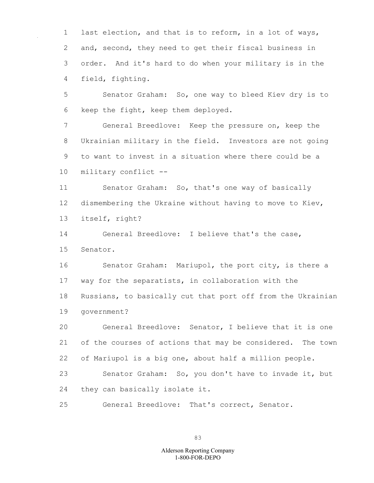1 last election, and that is to reform, in a lot of ways, 2 and, second, they need to get their fiscal business in 3 order. And it's hard to do when your military is in the 4 field, fighting.

5 Senator Graham: So, one way to bleed Kiev dry is to 6 keep the fight, keep them deployed.

7 General Breedlove: Keep the pressure on, keep the 8 Ukrainian military in the field. Investors are not going 9 to want to invest in a situation where there could be a 10 military conflict --

11 Senator Graham: So, that's one way of basically 12 dismembering the Ukraine without having to move to Kiev, 13 itself, right?

14 General Breedlove: I believe that's the case, 15 Senator.

16 Senator Graham: Mariupol, the port city, is there a 17 way for the separatists, in collaboration with the 18 Russians, to basically cut that port off from the Ukrainian 19 government?

20 General Breedlove: Senator, I believe that it is one 21 of the courses of actions that may be considered. The town 22 of Mariupol is a big one, about half a million people.

23 Senator Graham: So, you don't have to invade it, but 24 they can basically isolate it.

25 General Breedlove: That's correct, Senator.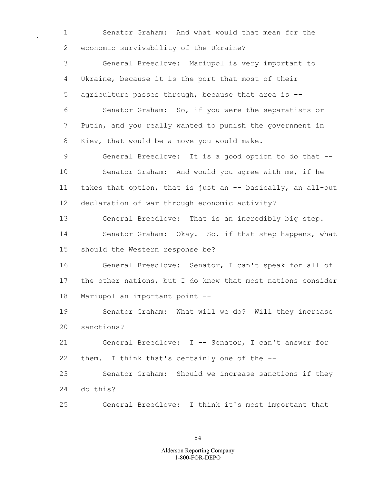1 Senator Graham: And what would that mean for the 2 economic survivability of the Ukraine?

3 General Breedlove: Mariupol is very important to 4 Ukraine, because it is the port that most of their 5 agriculture passes through, because that area is -- 6 Senator Graham: So, if you were the separatists or 7 Putin, and you really wanted to punish the government in 8 Kiev, that would be a move you would make.

9 General Breedlove: It is a good option to do that -- 10 Senator Graham: And would you agree with me, if he 11 takes that option, that is just an -- basically, an all-out 12 declaration of war through economic activity?

13 General Breedlove: That is an incredibly big step. 14 Senator Graham: Okay. So, if that step happens, what 15 should the Western response be?

16 General Breedlove: Senator, I can't speak for all of 17 the other nations, but I do know that most nations consider 18 Mariupol an important point --

19 Senator Graham: What will we do? Will they increase 20 sanctions?

21 General Breedlove: I -- Senator, I can't answer for 22 them. I think that's certainly one of the --

23 Senator Graham: Should we increase sanctions if they 24 do this?

25 General Breedlove: I think it's most important that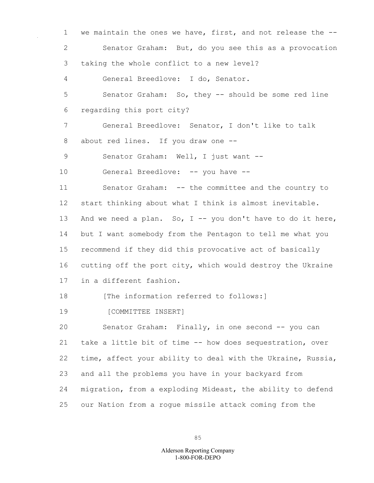1 we maintain the ones we have, first, and not release the -- 2 Senator Graham: But, do you see this as a provocation 3 taking the whole conflict to a new level? 4 General Breedlove: I do, Senator. 5 Senator Graham: So, they -- should be some red line 6 regarding this port city? 7 General Breedlove: Senator, I don't like to talk 8 about red lines. If you draw one -- 9 Senator Graham: Well, I just want -- 10 General Breedlove: -- you have -- 11 Senator Graham: -- the committee and the country to 12 start thinking about what I think is almost inevitable. 13 And we need a plan. So, I -- you don't have to do it here, 14 but I want somebody from the Pentagon to tell me what you 15 recommend if they did this provocative act of basically 16 cutting off the port city, which would destroy the Ukraine 17 in a different fashion. 18 **Intermation** referred to follows:1 19 [COMMITTEE INSERT] 20 Senator Graham: Finally, in one second -- you can 21 take a little bit of time -- how does sequestration, over 22 time, affect your ability to deal with the Ukraine, Russia, 23 and all the problems you have in your backyard from 24 migration, from a exploding Mideast, the ability to defend 25 our Nation from a rogue missile attack coming from the

85

## 1-800-FOR-DEPO Alderson Reporting Company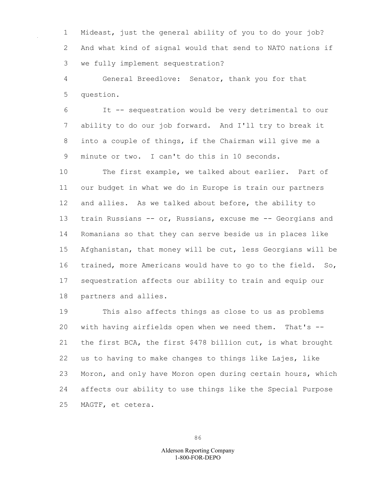1 Mideast, just the general ability of you to do your job? 2 And what kind of signal would that send to NATO nations if 3 we fully implement sequestration?

4 General Breedlove: Senator, thank you for that 5 question.

6 It -- sequestration would be very detrimental to our 7 ability to do our job forward. And I'll try to break it 8 into a couple of things, if the Chairman will give me a 9 minute or two. I can't do this in 10 seconds.

10 The first example, we talked about earlier. Part of 11 our budget in what we do in Europe is train our partners 12 and allies. As we talked about before, the ability to 13 train Russians -- or, Russians, excuse me -- Georgians and 14 Romanians so that they can serve beside us in places like 15 Afghanistan, that money will be cut, less Georgians will be 16 trained, more Americans would have to go to the field. So, 17 sequestration affects our ability to train and equip our 18 partners and allies.

19 This also affects things as close to us as problems 20 with having airfields open when we need them. That's -- 21 the first BCA, the first \$478 billion cut, is what brought 22 us to having to make changes to things like Lajes, like 23 Moron, and only have Moron open during certain hours, which 24 affects our ability to use things like the Special Purpose 25 MAGTF, et cetera.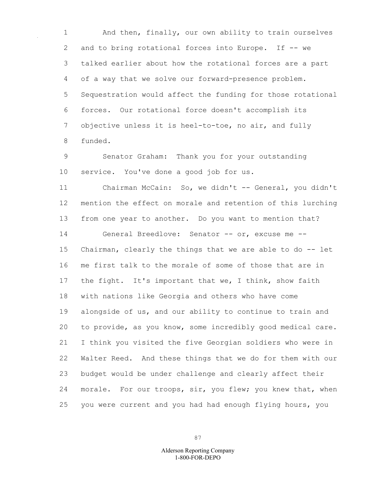1 And then, finally, our own ability to train ourselves 2 and to bring rotational forces into Europe. If -- we 3 talked earlier about how the rotational forces are a part 4 of a way that we solve our forward-presence problem. 5 Sequestration would affect the funding for those rotational 6 forces. Our rotational force doesn't accomplish its 7 objective unless it is heel-to-toe, no air, and fully 8 funded.

9 Senator Graham: Thank you for your outstanding 10 service. You've done a good job for us.

11 Chairman McCain: So, we didn't -- General, you didn't 12 mention the effect on morale and retention of this lurching 13 from one year to another. Do you want to mention that? 14 General Breedlove: Senator -- or, excuse me -- 15 Chairman, clearly the things that we are able to do -- let 16 me first talk to the morale of some of those that are in 17 the fight. It's important that we, I think, show faith 18 with nations like Georgia and others who have come 19 alongside of us, and our ability to continue to train and 20 to provide, as you know, some incredibly good medical care. 21 I think you visited the five Georgian soldiers who were in 22 Walter Reed. And these things that we do for them with our 23 budget would be under challenge and clearly affect their 24 morale. For our troops, sir, you flew; you knew that, when 25 you were current and you had had enough flying hours, you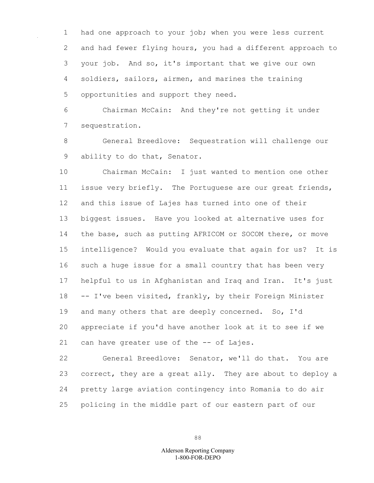1 had one approach to your job; when you were less current 2 and had fewer flying hours, you had a different approach to 3 your job. And so, it's important that we give our own 4 soldiers, sailors, airmen, and marines the training 5 opportunities and support they need.

6 Chairman McCain: And they're not getting it under 7 sequestration.

8 General Breedlove: Sequestration will challenge our 9 ability to do that, Senator.

10 Chairman McCain: I just wanted to mention one other 11 issue very briefly. The Portuguese are our great friends, 12 and this issue of Lajes has turned into one of their 13 biggest issues. Have you looked at alternative uses for 14 the base, such as putting AFRICOM or SOCOM there, or move 15 intelligence? Would you evaluate that again for us? It is 16 such a huge issue for a small country that has been very 17 helpful to us in Afghanistan and Iraq and Iran. It's just 18 -- I've been visited, frankly, by their Foreign Minister 19 and many others that are deeply concerned. So, I'd 20 appreciate if you'd have another look at it to see if we 21 can have greater use of the -- of Lajes.

22 General Breedlove: Senator, we'll do that. You are 23 correct, they are a great ally. They are about to deploy a 24 pretty large aviation contingency into Romania to do air 25 policing in the middle part of our eastern part of our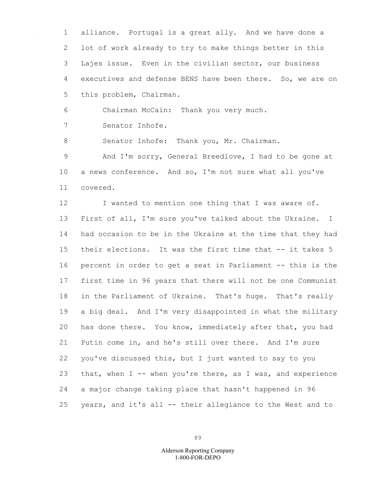1 alliance. Portugal is a great ally. And we have done a 2 lot of work already to try to make things better in this 3 Lajes issue. Even in the civilian sector, our business 4 executives and defense BENS have been there. So, we are on 5 this problem, Chairman.

6 Chairman McCain: Thank you very much.

7 Senator Inhofe.

8 Senator Inhofe: Thank you, Mr. Chairman.

9 And I'm sorry, General Breedlove, I had to be gone at 10 a news conference. And so, I'm not sure what all you've 11 covered.

12 I wanted to mention one thing that I was aware of. 13 First of all, I'm sure you've talked about the Ukraine. I 14 had occasion to be in the Ukraine at the time that they had 15 their elections. It was the first time that -- it takes 5 16 percent in order to get a seat in Parliament -- this is the 17 first time in 96 years that there will not be one Communist 18 in the Parliament of Ukraine. That's huge. That's really 19 a big deal. And I'm very disappointed in what the military 20 has done there. You know, immediately after that, you had 21 Putin come in, and he's still over there. And I'm sure 22 you've discussed this, but I just wanted to say to you 23 that, when I -- when you're there, as I was, and experience 24 a major change taking place that hasn't happened in 96 25 years, and it's all -- their allegiance to the West and to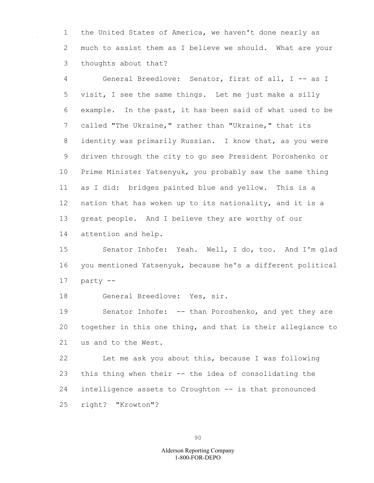1 the United States of America, we haven't done nearly as 2 much to assist them as I believe we should. What are your 3 thoughts about that?

4 General Breedlove: Senator, first of all, I -- as I 5 visit, I see the same things. Let me just make a silly 6 example. In the past, it has been said of what used to be 7 called "The Ukraine," rather than "Ukraine," that its 8 identity was primarily Russian. I know that, as you were 9 driven through the city to go see President Poroshenko or 10 Prime Minister Yatsenyuk, you probably saw the same thing 11 as I did: bridges painted blue and yellow. This is a 12 nation that has woken up to its nationality, and it is a 13 great people. And I believe they are worthy of our 14 attention and help.

15 Senator Inhofe: Yeah. Well, I do, too. And I'm glad 16 you mentioned Yatsenyuk, because he's a different political 17 party --

18 General Breedlove: Yes, sir.

19 Senator Inhofe: -- than Poroshenko, and yet they are 20 together in this one thing, and that is their allegiance to 21 us and to the West.

22 Let me ask you about this, because I was following 23 this thing when their -- the idea of consolidating the 24 intelligence assets to Croughton -- is that pronounced 25 right? "Krowton"?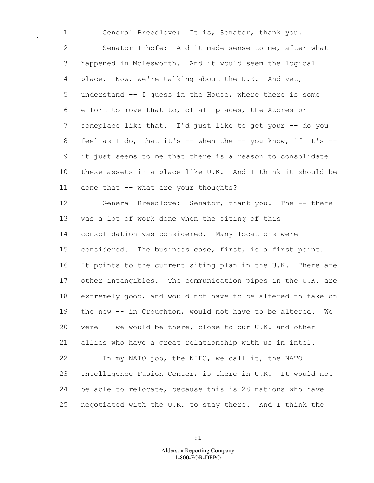1 General Breedlove: It is, Senator, thank you. 2 Senator Inhofe: And it made sense to me, after what 3 happened in Molesworth. And it would seem the logical 4 place. Now, we're talking about the U.K. And yet, I 5 understand -- I guess in the House, where there is some 6 effort to move that to, of all places, the Azores or 7 someplace like that. I'd just like to get your -- do you 8 feel as I do, that it's -- when the -- you know, if it's --9 it just seems to me that there is a reason to consolidate 10 these assets in a place like U.K. And I think it should be 11 done that -- what are your thoughts? 12 General Breedlove: Senator, thank you. The -- there 13 was a lot of work done when the siting of this 14 consolidation was considered. Many locations were

15 considered. The business case, first, is a first point. 16 It points to the current siting plan in the U.K. There are 17 other intangibles. The communication pipes in the U.K. are 18 extremely good, and would not have to be altered to take on 19 the new -- in Croughton, would not have to be altered. We 20 were -- we would be there, close to our U.K. and other 21 allies who have a great relationship with us in intel.

22 In my NATO job, the NIFC, we call it, the NATO 23 Intelligence Fusion Center, is there in U.K. It would not 24 be able to relocate, because this is 28 nations who have 25 negotiated with the U.K. to stay there. And I think the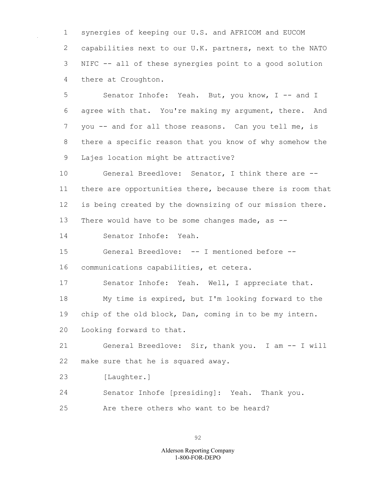synergies of keeping our U.S. and AFRICOM and EUCOM capabilities next to our U.K. partners, next to the NATO NIFC -- all of these synergies point to a good solution there at Croughton.

5 Senator Inhofe: Yeah. But, you know, I -- and I agree with that. You're making my argument, there. And you -- and for all those reasons. Can you tell me, is there a specific reason that you know of why somehow the Lajes location might be attractive?

 General Breedlove: Senator, I think there are -- there are opportunities there, because there is room that is being created by the downsizing of our mission there. 13 There would have to be some changes made, as --

Senator Inhofe: Yeah.

General Breedlove: -- I mentioned before --

communications capabilities, et cetera.

Senator Inhofe: Yeah. Well, I appreciate that.

My time is expired, but I'm looking forward to the

chip of the old block, Dan, coming in to be my intern.

Looking forward to that.

 General Breedlove: Sir, thank you. I am -- I will make sure that he is squared away.

[Laughter.]

Senator Inhofe [presiding]: Yeah. Thank you.

Are there others who want to be heard?

1-800-FOR-DEPO Alderson Reporting Company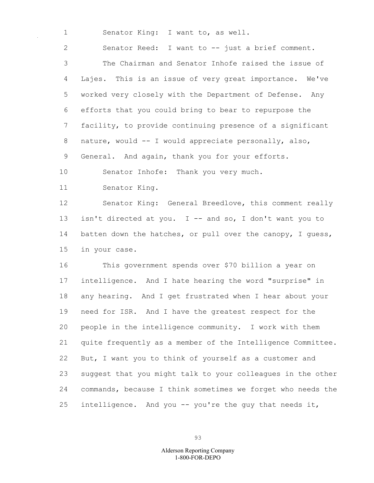1 Senator King: I want to, as well.

2 Senator Reed: I want to -- just a brief comment. 3 The Chairman and Senator Inhofe raised the issue of 4 Lajes. This is an issue of very great importance. We've 5 worked very closely with the Department of Defense. Any 6 efforts that you could bring to bear to repurpose the 7 facility, to provide continuing presence of a significant 8 nature, would -- I would appreciate personally, also, 9 General. And again, thank you for your efforts. 10 Senator Inhofe: Thank you very much. 11 Senator King. 12 Senator King: General Breedlove, this comment really

13 isn't directed at you. I -- and so, I don't want you to 14 batten down the hatches, or pull over the canopy, I quess, 15 in your case.

16 This government spends over \$70 billion a year on 17 intelligence. And I hate hearing the word "surprise" in 18 any hearing. And I get frustrated when I hear about your 19 need for ISR. And I have the greatest respect for the 20 people in the intelligence community. I work with them 21 quite frequently as a member of the Intelligence Committee. 22 But, I want you to think of yourself as a customer and 23 suggest that you might talk to your colleagues in the other 24 commands, because I think sometimes we forget who needs the 25 intelligence. And you -- you're the guy that needs it,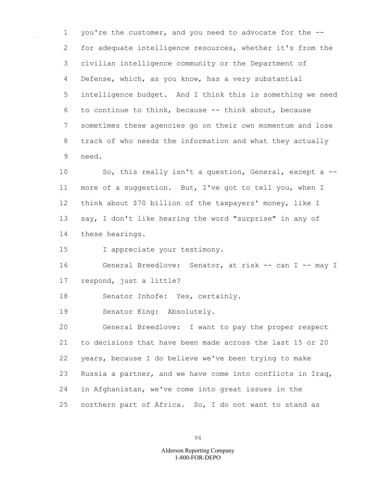1 you're the customer, and you need to advocate for the -- 2 for adequate intelligence resources, whether it's from the 3 civilian intelligence community or the Department of 4 Defense, which, as you know, has a very substantial 5 intelligence budget. And I think this is something we need 6 to continue to think, because -- think about, because 7 sometimes these agencies go on their own momentum and lose 8 track of who needs the information and what they actually 9 need.

10 So, this really isn't a question, General, except a --11 more of a suggestion. But, I've got to tell you, when I 12 think about \$70 billion of the taxpayers' money, like I 13 say, I don't like hearing the word "surprise" in any of 14 these hearings.

15 I appreciate your testimony.

16 General Breedlove: Senator, at risk -- can I -- may I 17 respond, just a little?

18 Senator Inhofe: Yes, certainly.

19 Senator King: Absolutely.

20 General Breedlove: I want to pay the proper respect 21 to decisions that have been made across the last 15 or 20 22 years, because I do believe we've been trying to make 23 Russia a partner, and we have come into conflicts in Iraq, 24 in Afghanistan, we've come into great issues in the 25 northern part of Africa. So, I do not want to stand as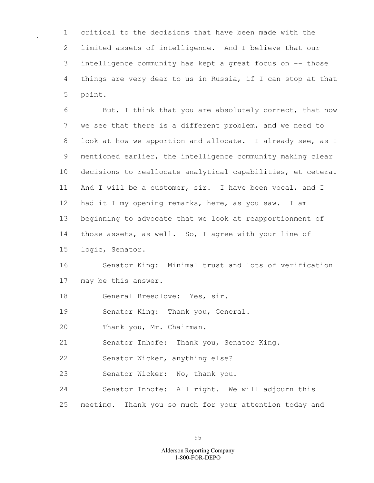1 critical to the decisions that have been made with the 2 limited assets of intelligence. And I believe that our 3 intelligence community has kept a great focus on -- those 4 things are very dear to us in Russia, if I can stop at that 5 point.

6 But, I think that you are absolutely correct, that now 7 we see that there is a different problem, and we need to 8 look at how we apportion and allocate. I already see, as I 9 mentioned earlier, the intelligence community making clear 10 decisions to reallocate analytical capabilities, et cetera. 11 And I will be a customer, sir. I have been vocal, and I 12 had it I my opening remarks, here, as you saw. I am 13 beginning to advocate that we look at reapportionment of 14 those assets, as well. So, I agree with your line of

15 logic, Senator.

16 Senator King: Minimal trust and lots of verification 17 may be this answer.

18 General Breedlove: Yes, sir.

19 Senator King: Thank you, General.

20 Thank you, Mr. Chairman.

21 Senator Inhofe: Thank you, Senator King.

22 Senator Wicker, anything else?

23 Senator Wicker: No, thank you.

24 Senator Inhofe: All right. We will adjourn this 25 meeting. Thank you so much for your attention today and